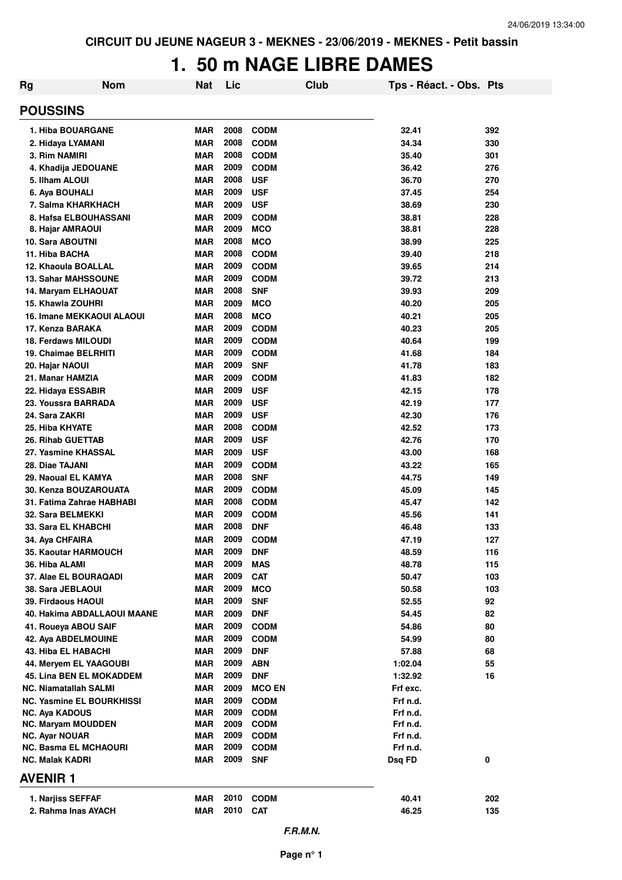# **1. 50 m NAGE LIBRE DAMES**

| Rg                                                 | <b>Nom</b> | <b>Nat</b>               | Lic          |                            | Club | Tps - Réact. - Obs. Pts |            |
|----------------------------------------------------|------------|--------------------------|--------------|----------------------------|------|-------------------------|------------|
| <b>POUSSINS</b>                                    |            |                          |              |                            |      |                         |            |
| 1. Hiba BOUARGANE                                  |            | <b>MAR</b>               | 2008         | <b>CODM</b>                |      | 32.41                   | 392        |
| 2. Hidaya LYAMANI                                  |            | <b>MAR</b>               | 2008         | <b>CODM</b>                |      | 34.34                   | 330        |
| 3. Rim NAMIRI                                      |            | <b>MAR</b>               | 2008         | <b>CODM</b>                |      | 35.40                   | 301        |
| 4. Khadija JEDOUANE                                |            | <b>MAR</b>               | 2009         | <b>CODM</b>                |      | 36.42                   | 276        |
| 5. Ilham ALOUI                                     |            | <b>MAR</b>               | 2008         | <b>USF</b>                 |      | 36.70                   | 270        |
| 6. Aya BOUHALI                                     |            | <b>MAR</b>               | 2009         | <b>USF</b>                 |      | 37.45                   | 254        |
| 7. Salma KHARKHACH                                 |            | <b>MAR</b>               | 2009         | <b>USF</b>                 |      | 38.69                   | 230        |
| 8. Hafsa ELBOUHASSANI                              |            | <b>MAR</b>               | 2009<br>2009 | <b>CODM</b>                |      | 38.81                   | 228        |
| 8. Hajar AMRAOUI<br>10. Sara ABOUTNI               |            | <b>MAR</b><br><b>MAR</b> | 2008         | <b>MCO</b><br><b>MCO</b>   |      | 38.81<br>38.99          | 228<br>225 |
| 11. Hiba BACHA                                     |            | <b>MAR</b>               | 2008         | <b>CODM</b>                |      | 39.40                   | 218        |
| 12. Khaoula BOALLAL                                |            | <b>MAR</b>               | 2009         | <b>CODM</b>                |      | 39.65                   | 214        |
| <b>13. Sahar MAHSSOUNE</b>                         |            | <b>MAR</b>               | 2009         | <b>CODM</b>                |      | 39.72                   | 213        |
| 14. Maryam ELHAOUAT                                |            | <b>MAR</b>               | 2008         | <b>SNF</b>                 |      | 39.93                   | 209        |
| <b>15. Khawla ZOUHRI</b>                           |            | <b>MAR</b>               | 2009         | <b>MCO</b>                 |      | 40.20                   | 205        |
| <b>16. Imane MEKKAOUI ALAOUI</b>                   |            | <b>MAR</b>               | 2008         | <b>MCO</b>                 |      | 40.21                   | 205        |
| 17. Kenza BARAKA                                   |            | <b>MAR</b>               | 2009         | <b>CODM</b>                |      | 40.23                   | 205        |
| <b>18. Ferdaws MILOUDI</b>                         |            | <b>MAR</b>               | 2009         | <b>CODM</b>                |      | 40.64                   | 199        |
| 19. Chaimae BELRHITI                               |            | <b>MAR</b>               | 2009         | <b>CODM</b>                |      | 41.68                   | 184        |
| 20. Hajar NAOUI                                    |            | <b>MAR</b>               | 2009         | <b>SNF</b>                 |      | 41.78                   | 183        |
| 21. Manar HAMZIA                                   |            | <b>MAR</b>               | 2009         | <b>CODM</b>                |      | 41.83                   | 182        |
| 22. Hidaya ESSABIR                                 |            | <b>MAR</b>               | 2009         | <b>USF</b>                 |      | 42.15                   | 178        |
| 23. Youssra BARRADA                                |            | <b>MAR</b>               | 2009         | <b>USF</b>                 |      | 42.19                   | 177        |
| 24. Sara ZAKRI                                     |            | <b>MAR</b>               | 2009         | <b>USF</b>                 |      | 42.30                   | 176        |
| 25. Hiba KHYATE                                    |            | <b>MAR</b>               | 2008         | <b>CODM</b>                |      | 42.52                   | 173        |
| 26. Rihab GUETTAB                                  |            | <b>MAR</b>               | 2009         | <b>USF</b>                 |      | 42.76                   | 170        |
| 27. Yasmine KHASSAL                                |            | <b>MAR</b>               | 2009         | <b>USF</b>                 |      | 43.00                   | 168        |
| 28. Diae TAJANI                                    |            | <b>MAR</b>               | 2009         | <b>CODM</b>                |      | 43.22                   | 165        |
| 29. Naoual EL KAMYA                                |            | <b>MAR</b>               | 2008         | <b>SNF</b>                 |      | 44.75                   | 149        |
| 30. Kenza BOUZAROUATA                              |            | <b>MAR</b>               | 2009<br>2008 | <b>CODM</b>                |      | 45.09                   | 145        |
| 31. Fatima Zahrae HABHABI<br>32. Sara BELMEKKI     |            | <b>MAR</b><br><b>MAR</b> | 2009         | <b>CODM</b><br><b>CODM</b> |      | 45.47<br>45.56          | 142<br>141 |
| 33. Sara EL KHABCHI                                |            | <b>MAR</b>               | 2008         | <b>DNF</b>                 |      | 46.48                   | 133        |
| 34. Aya CHFAIRA                                    |            | <b>MAR</b>               | 2009         | <b>CODM</b>                |      | 47.19                   | 127        |
| 35. Kaoutar HARMOUCH                               |            | <b>MAR</b>               | 2009         | <b>DNF</b>                 |      | 48.59                   | 116        |
| 36. Hiba ALAMI                                     |            | <b>MAR</b>               | 2009         | <b>MAS</b>                 |      | 48.78                   | 115        |
| 37. Alae EL BOURAQADI                              |            | <b>MAR</b>               | 2009         | <b>CAT</b>                 |      | 50.47                   | 103        |
| 38. Sara JEBLAOUI                                  |            | <b>MAR</b>               | 2009         | <b>MCO</b>                 |      | 50.58                   | 103        |
| 39. Firdaous HAOUI                                 |            | <b>MAR</b>               | 2009         | <b>SNF</b>                 |      | 52.55                   | 92         |
| 40. Hakima ABDALLAOUI MAANE                        |            | <b>MAR</b>               | 2009         | <b>DNF</b>                 |      | 54.45                   | 82         |
| 41. Roueya ABOU SAIF                               |            | <b>MAR</b>               | 2009         | <b>CODM</b>                |      | 54.86                   | 80         |
| 42. Aya ABDELMOUINE                                |            | <b>MAR</b>               | 2009         | <b>CODM</b>                |      | 54.99                   | 80         |
| 43. Hiba EL HABACHI                                |            | <b>MAR</b>               | 2009         | <b>DNF</b>                 |      | 57.88                   | 68         |
| 44. Mervem EL YAAGOUBI                             |            | <b>MAR</b>               | 2009         | <b>ABN</b>                 |      | 1:02.04                 | 55         |
| <b>45. Lina BEN EL MOKADDEM</b>                    |            | <b>MAR</b>               | 2009         | <b>DNF</b>                 |      | 1:32.92                 | 16         |
| <b>NC. Niamatallah SALMI</b>                       |            | <b>MAR</b>               | 2009         | <b>MCO EN</b>              |      | Frf exc.                |            |
| NC. Yasmine EL BOURKHISSI                          |            | <b>MAR</b>               | 2009         | <b>CODM</b>                |      | Frf n.d.                |            |
| <b>NC. Aya KADOUS</b>                              |            | <b>MAR</b>               | 2009         | <b>CODM</b>                |      | Frf n.d.                |            |
| <b>NC. Maryam MOUDDEN</b><br><b>NC. Ayar NOUAR</b> |            | <b>MAR</b><br><b>MAR</b> | 2009<br>2009 | <b>CODM</b><br><b>CODM</b> |      | Frf n.d.<br>Frf n.d.    |            |
| <b>NC. Basma EL MCHAOURI</b>                       |            | <b>MAR</b>               | 2009         | <b>CODM</b>                |      | Frf n.d.                |            |
| <b>NC. Malak KADRI</b>                             |            | <b>MAR</b>               | 2009         | <b>SNF</b>                 |      | Dsq FD                  | 0          |
| <b>AVENIR1</b>                                     |            |                          |              |                            |      |                         |            |
| 1. Narjiss SEFFAF                                  |            | <b>MAR</b>               | 2010         | <b>CODM</b>                |      |                         | 202        |
| 2. Rahma Inas AYACH                                |            | <b>MAR</b>               | 2010         | <b>CAT</b>                 |      | 40.41<br>46.25          | 135        |
|                                                    |            |                          |              |                            |      |                         |            |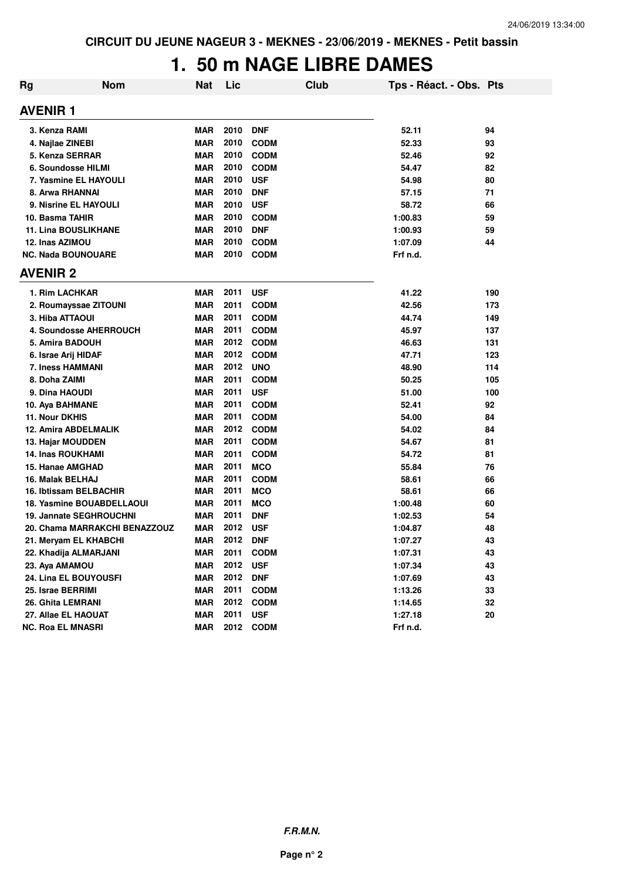# **1. 50 m NAGE LIBRE DAMES**

| <b>Rg</b> | <b>Nom</b>                       | <b>Nat</b> | Lic  | Club        | Tps - Réact. - Obs. Pts |     |
|-----------|----------------------------------|------------|------|-------------|-------------------------|-----|
|           | <b>AVENIR 1</b>                  |            |      |             |                         |     |
|           | 3. Kenza RAMI                    | <b>MAR</b> | 2010 | <b>DNF</b>  | 52.11                   | 94  |
|           | 4. Najlae ZINEBI                 | <b>MAR</b> | 2010 | <b>CODM</b> | 52.33                   | 93  |
|           | 5. Kenza SERRAR                  | <b>MAR</b> | 2010 | <b>CODM</b> | 52.46                   | 92  |
|           | 6. Soundosse HILMI               | <b>MAR</b> | 2010 | <b>CODM</b> | 54.47                   | 82  |
|           | 7. Yasmine EL HAYOULI            | <b>MAR</b> | 2010 | <b>USF</b>  | 54.98                   | 80  |
|           | 8. Arwa RHANNAI                  | <b>MAR</b> | 2010 | <b>DNF</b>  | 57.15                   | 71  |
|           | 9. Nisrine EL HAYOULI            | <b>MAR</b> | 2010 | <b>USF</b>  | 58.72                   | 66  |
|           | 10. Basma TAHIR                  | <b>MAR</b> | 2010 | <b>CODM</b> | 1:00.83                 | 59  |
|           | <b>11. Lina BOUSLIKHANE</b>      | <b>MAR</b> | 2010 | <b>DNF</b>  | 1:00.93                 | 59  |
|           | 12. Inas AZIMOU                  | <b>MAR</b> | 2010 | <b>CODM</b> | 1:07.09                 | 44  |
|           | <b>NC. Nada BOUNOUARE</b>        | <b>MAR</b> | 2010 | <b>CODM</b> | Frf n.d.                |     |
|           | <b>AVENIR 2</b>                  |            |      |             |                         |     |
|           | 1. Rim LACHKAR                   | <b>MAR</b> | 2011 | <b>USF</b>  | 41.22                   | 190 |
|           | 2. Roumayssae ZITOUNI            | <b>MAR</b> | 2011 | <b>CODM</b> | 42.56                   | 173 |
|           | 3. Hiba ATTAOUI                  | <b>MAR</b> | 2011 | <b>CODM</b> | 44.74                   | 149 |
|           | <b>4. Soundosse AHERROUCH</b>    | <b>MAR</b> | 2011 | <b>CODM</b> | 45.97                   | 137 |
|           | 5. Amira BADOUH                  | <b>MAR</b> | 2012 | <b>CODM</b> | 46.63                   | 131 |
|           | 6. Israe Arij HIDAF              | <b>MAR</b> | 2012 | <b>CODM</b> | 47.71                   | 123 |
|           | 7. Iness HAMMANI                 | <b>MAR</b> | 2012 | <b>UNO</b>  | 48.90                   | 114 |
|           | 8. Doha ZAIMI                    | <b>MAR</b> | 2011 | <b>CODM</b> | 50.25                   | 105 |
|           | 9. Dina HAOUDI                   | <b>MAR</b> | 2011 | <b>USF</b>  | 51.00                   | 100 |
|           | 10. Aya BAHMANE                  | <b>MAR</b> | 2011 | <b>CODM</b> | 52.41                   | 92  |
|           | 11. Nour DKHIS                   | <b>MAR</b> | 2011 | <b>CODM</b> | 54.00                   | 84  |
|           | 12. Amira ABDELMALIK             | <b>MAR</b> | 2012 | <b>CODM</b> | 54.02                   | 84  |
|           | 13. Hajar MOUDDEN                | <b>MAR</b> | 2011 | <b>CODM</b> | 54.67                   | 81  |
|           | <b>14. Inas ROUKHAMI</b>         | <b>MAR</b> | 2011 | <b>CODM</b> | 54.72                   | 81  |
|           | 15. Hanae AMGHAD                 | <b>MAR</b> | 2011 | <b>MCO</b>  | 55.84                   | 76  |
|           | 16. Malak BELHAJ                 | <b>MAR</b> | 2011 | <b>CODM</b> | 58.61                   | 66  |
|           | 16. Ibtissam BELBACHIR           | <b>MAR</b> | 2011 | <b>MCO</b>  | 58.61                   | 66  |
|           | <b>18. Yasmine BOUABDELLAOUI</b> | <b>MAR</b> | 2011 | <b>MCO</b>  | 1:00.48                 | 60  |
|           | <b>19. Jannate SEGHROUCHNI</b>   | <b>MAR</b> | 2011 | <b>DNF</b>  | 1:02.53                 | 54  |
|           | 20. Chama MARRAKCHI BENAZZOUZ    | <b>MAR</b> | 2012 | <b>USF</b>  | 1:04.87                 | 48  |
|           | 21. Meryam EL KHABCHI            | <b>MAR</b> | 2012 | <b>DNF</b>  | 1:07.27                 | 43  |
|           | 22. Khadija ALMARJANI            | <b>MAR</b> | 2011 | <b>CODM</b> | 1:07.31                 | 43  |
|           | 23. Aya AMAMOU                   | <b>MAR</b> | 2012 | <b>USF</b>  | 1:07.34                 | 43  |
|           | 24. Lina EL BOUYOUSFI            | <b>MAR</b> | 2012 | <b>DNF</b>  | 1:07.69                 | 43  |
|           | 25. Israe BERRIMI                | <b>MAR</b> | 2011 | <b>CODM</b> | 1:13.26                 | 33  |
|           | 26. Ghita LEMRANI                | <b>MAR</b> | 2012 | <b>CODM</b> | 1:14.65                 | 32  |
|           | 27. Allae EL HAOUAT              | <b>MAR</b> | 2011 | <b>USF</b>  | 1:27.18                 | 20  |
|           | <b>NC. Roa EL MNASRI</b>         | <b>MAR</b> | 2012 | <b>CODM</b> | Frf n.d.                |     |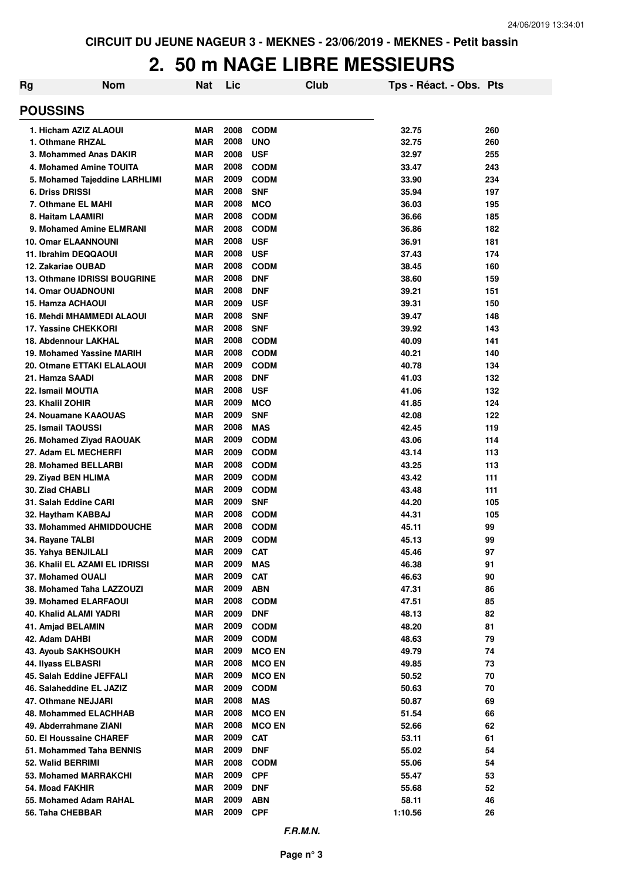#### **2. 50 m NAGE LIBRE MESSIEURS**

| Rg                         | <b>Nom</b>                          | Nat        | Lic  | Club          | Tps - Réact. - Obs. Pts |     |
|----------------------------|-------------------------------------|------------|------|---------------|-------------------------|-----|
| <b>POUSSINS</b>            |                                     |            |      |               |                         |     |
|                            | 1. Hicham AZIZ ALAOUI               | <b>MAR</b> | 2008 | <b>CODM</b>   | 32.75                   | 260 |
| 1. Othmane RHZAL           |                                     | <b>MAR</b> | 2008 | <b>UNO</b>    | 32.75                   | 260 |
|                            | 3. Mohammed Anas DAKIR              | <b>MAR</b> | 2008 | <b>USF</b>    | 32.97                   | 255 |
|                            | 4. Mohamed Amine TOUITA             | <b>MAR</b> | 2008 | <b>CODM</b>   | 33.47                   | 243 |
|                            | 5. Mohamed Tajeddine LARHLIMI       | <b>MAR</b> | 2009 | <b>CODM</b>   | 33.90                   | 234 |
| <b>6. Driss DRISSI</b>     |                                     | <b>MAR</b> | 2008 | <b>SNF</b>    | 35.94                   | 197 |
| 7. Othmane EL MAHI         |                                     | <b>MAR</b> | 2008 | <b>MCO</b>    | 36.03                   | 195 |
| 8. Haitam LAAMIRI          |                                     | <b>MAR</b> | 2008 | <b>CODM</b>   | 36.66                   | 185 |
|                            | 9. Mohamed Amine ELMRANI            | <b>MAR</b> | 2008 | <b>CODM</b>   | 36.86                   | 182 |
| <b>10. Omar ELAANNOUNI</b> |                                     | <b>MAR</b> | 2008 | <b>USF</b>    | 36.91                   | 181 |
| 11. Ibrahim DEQQAOUI       |                                     | <b>MAR</b> | 2008 | <b>USF</b>    | 37.43                   | 174 |
| 12. Zakariae OUBAD         |                                     | <b>MAR</b> | 2008 | <b>CODM</b>   | 38.45                   | 160 |
|                            | <b>13. Othmane IDRISSI BOUGRINE</b> | <b>MAR</b> | 2008 | <b>DNF</b>    | 38.60                   | 159 |
| <b>14. Omar OUADNOUNI</b>  |                                     | <b>MAR</b> | 2008 | <b>DNF</b>    | 39.21                   | 151 |
| 15. Hamza ACHAOUI          |                                     | <b>MAR</b> | 2009 | <b>USF</b>    | 39.31                   | 150 |
|                            | <b>16. Mehdi MHAMMEDI ALAOUI</b>    | <b>MAR</b> | 2008 | <b>SNF</b>    | 39.47                   | 148 |
| 17. Yassine CHEKKORI       |                                     | <b>MAR</b> | 2008 | <b>SNF</b>    | 39.92                   | 143 |
| 18. Abdennour LAKHAL       |                                     | <b>MAR</b> | 2008 | <b>CODM</b>   | 40.09                   | 141 |
|                            | 19. Mohamed Yassine MARIH           | <b>MAR</b> | 2008 | <b>CODM</b>   | 40.21                   | 140 |
|                            | 20. Otmane ETTAKI ELALAOUI          | <b>MAR</b> | 2009 | <b>CODM</b>   | 40.78                   | 134 |
| 21. Hamza SAADI            |                                     | <b>MAR</b> | 2008 | <b>DNF</b>    | 41.03                   | 132 |
| 22. Ismail MOUTIA          |                                     | <b>MAR</b> | 2008 | <b>USF</b>    | 41.06                   | 132 |
| 23. Khalil ZOHIR           |                                     | <b>MAR</b> | 2009 | <b>MCO</b>    | 41.85                   | 124 |
|                            | 24. Nouamane KAAOUAS                | <b>MAR</b> | 2009 | <b>SNF</b>    | 42.08                   | 122 |
| 25. Ismail TAOUSSI         |                                     | <b>MAR</b> | 2008 | <b>MAS</b>    | 42.45                   | 119 |
|                            | 26. Mohamed Ziyad RAOUAK            | <b>MAR</b> | 2009 | <b>CODM</b>   | 43.06                   | 114 |
| 27. Adam EL MECHERFI       |                                     | <b>MAR</b> | 2009 | <b>CODM</b>   | 43.14                   | 113 |
| 28. Mohamed BELLARBI       |                                     | <b>MAR</b> | 2008 | <b>CODM</b>   | 43.25                   | 113 |
| 29. Ziyad BEN HLIMA        |                                     | <b>MAR</b> | 2009 | <b>CODM</b>   | 43.42                   | 111 |
| 30. Ziad CHABLI            |                                     | <b>MAR</b> | 2009 | <b>CODM</b>   | 43.48                   | 111 |
| 31. Salah Eddine CARI      |                                     | <b>MAR</b> | 2009 | <b>SNF</b>    | 44.20                   | 105 |
| 32. Haytham KABBAJ         |                                     | <b>MAR</b> | 2008 | <b>CODM</b>   | 44.31                   | 105 |
|                            | 33. Mohammed AHMIDDOUCHE            | <b>MAR</b> | 2008 | <b>CODM</b>   | 45.11                   | 99  |
| 34. Rayane TALBI           |                                     | <b>MAR</b> | 2009 | <b>CODM</b>   | 45.13                   | 99  |
| 35. Yahya BENJILALI        |                                     | MAR        | 2009 | <b>CAT</b>    | 45.46                   | 97  |
|                            | 36. Khalil EL AZAMI EL IDRISSI      | MAR        | 2009 | <b>MAS</b>    | 46.38                   | 91  |
| 37. Mohamed OUALI          |                                     | <b>MAR</b> | 2009 | <b>CAT</b>    | 46.63                   | 90  |
|                            | 38. Mohamed Taha LAZZOUZI           | MAR        | 2009 | <b>ABN</b>    | 47.31                   | 86  |
|                            | 39. Mohamed ELARFAOUI               | <b>MAR</b> | 2008 | <b>CODM</b>   | 47.51                   | 85  |
| 40. Khalid ALAMI YADRI     |                                     | <b>MAR</b> | 2009 | <b>DNF</b>    | 48.13                   | 82  |
| 41. Amjad BELAMIN          |                                     | <b>MAR</b> | 2009 | <b>CODM</b>   | 48.20                   | 81  |
| 42. Adam DAHBI             |                                     | <b>MAR</b> | 2009 | <b>CODM</b>   | 48.63                   | 79  |
| 43. Ayoub SAKHSOUKH        |                                     | <b>MAR</b> | 2009 | <b>MCO EN</b> | 49.79                   | 74  |
| 44. Ilyass ELBASRI         |                                     | <b>MAR</b> | 2008 | <b>MCO EN</b> | 49.85                   | 73  |
|                            | 45. Salah Eddine JEFFALI            | <b>MAR</b> | 2009 | <b>MCO EN</b> | 50.52                   | 70  |
|                            | 46. Salaheddine EL JAZIZ            | <b>MAR</b> | 2009 | <b>CODM</b>   | 50.63                   | 70  |
| 47. Othmane NEJJARI        |                                     | <b>MAR</b> | 2008 | <b>MAS</b>    | 50.87                   | 69  |
|                            | 48. Mohammed ELACHHAB               | <b>MAR</b> | 2008 | <b>MCO EN</b> | 51.54                   | 66  |
| 49. Abderrahmane ZIANI     |                                     | <b>MAR</b> | 2008 | <b>MCO EN</b> | 52.66                   | 62  |
|                            | 50. El Houssaine CHAREF             | <b>MAR</b> | 2009 | <b>CAT</b>    | 53.11                   | 61  |
|                            | 51. Mohammed Taha BENNIS            | <b>MAR</b> | 2009 | <b>DNF</b>    | 55.02                   | 54  |
| 52. Walid BERRIMI          |                                     | <b>MAR</b> | 2008 | <b>CODM</b>   | 55.06                   | 54  |
|                            | 53. Mohamed MARRAKCHI               | <b>MAR</b> | 2009 | <b>CPF</b>    | 55.47                   | 53  |
| 54. Moad FAKHIR            |                                     | <b>MAR</b> | 2009 | <b>DNF</b>    | 55.68                   | 52  |
|                            | 55. Mohamed Adam RAHAL              | <b>MAR</b> | 2009 | <b>ABN</b>    | 58.11                   | 46  |
| 56. Taha CHEBBAR           |                                     | <b>MAR</b> | 2009 | <b>CPF</b>    | 1:10.56                 | 26  |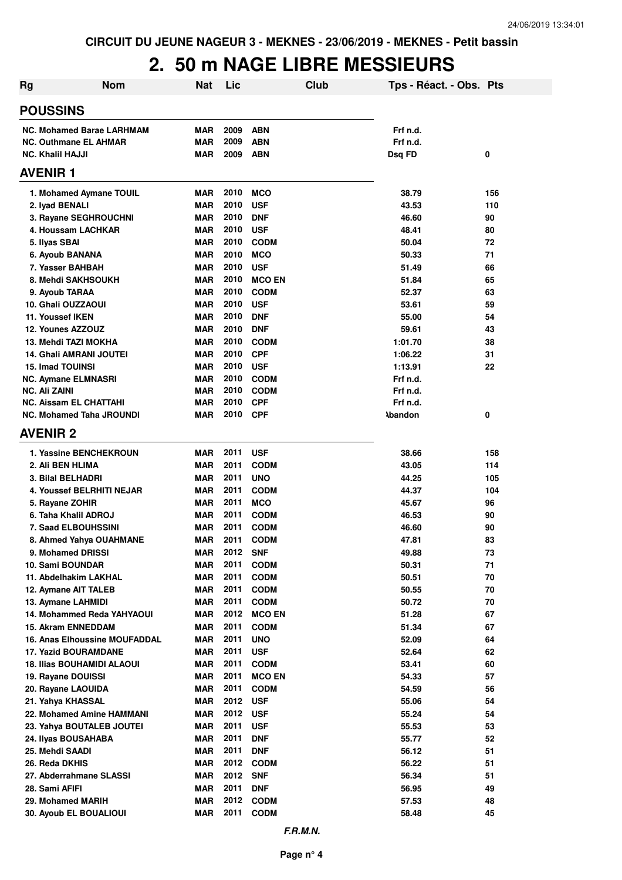# **2. 50 m NAGE LIBRE MESSIEURS**

| Rg                                                 | <b>Nom</b>                        | <b>Nat</b>               | Lic          | Club                       | Tps - Réact. - Obs. Pts |          |
|----------------------------------------------------|-----------------------------------|--------------------------|--------------|----------------------------|-------------------------|----------|
| <b>POUSSINS</b>                                    |                                   |                          |              |                            |                         |          |
|                                                    | <b>NC. Mohamed Barae LARHMAM</b>  | <b>MAR</b>               | 2009         | <b>ABN</b>                 | Frf n.d.                |          |
| <b>NC. Outhmane EL AHMAR</b>                       |                                   | <b>MAR</b>               | 2009         | <b>ABN</b>                 | Frf n.d.                |          |
| <b>NC. Khalil HAJJI</b>                            |                                   | <b>MAR</b>               | 2009         | <b>ABN</b>                 | Dsq FD                  | 0        |
| <b>AVENIR1</b>                                     |                                   |                          |              |                            |                         |          |
|                                                    | 1. Mohamed Aymane TOUIL           | <b>MAR</b>               | 2010         | <b>MCO</b>                 | 38.79                   | 156      |
| 2. Iyad BENALI                                     |                                   | <b>MAR</b>               | 2010         | <b>USF</b>                 | 43.53                   | 110      |
| 3. Rayane SEGHROUCHNI                              |                                   | <b>MAR</b>               | 2010         | <b>DNF</b>                 | 46.60                   | 90       |
| 4. Houssam LACHKAR                                 |                                   | <b>MAR</b>               | 2010         | <b>USF</b>                 | 48.41                   | 80       |
| 5. Ilyas SBAI                                      |                                   | <b>MAR</b>               | 2010         | <b>CODM</b>                | 50.04                   | 72       |
| 6. Ayoub BANANA                                    |                                   | <b>MAR</b>               | 2010         | <b>MCO</b>                 | 50.33                   | 71       |
| 7. Yasser BAHBAH                                   |                                   | <b>MAR</b>               | 2010         | <b>USF</b>                 | 51.49                   | 66       |
| 8. Mehdi SAKHSOUKH                                 |                                   | <b>MAR</b>               | 2010         | <b>MCO EN</b>              | 51.84                   | 65       |
| 9. Ayoub TARAA                                     |                                   | <b>MAR</b>               | 2010         | <b>CODM</b>                | 52.37                   | 63       |
| 10. Ghali OUZZAOUI                                 |                                   | <b>MAR</b>               | 2010         | <b>USF</b>                 | 53.61                   | 59       |
| 11. Youssef IKEN                                   |                                   | <b>MAR</b>               | 2010         | <b>DNF</b>                 | 55.00                   | 54       |
| 12. Younes AZZOUZ                                  |                                   | <b>MAR</b>               | 2010         | <b>DNF</b>                 | 59.61                   | 43       |
| 13. Mehdi TAZI MOKHA                               |                                   | <b>MAR</b>               | 2010         | <b>CODM</b>                | 1:01.70                 | 38       |
| 14. Ghali AMRANI JOUTEI                            |                                   | <b>MAR</b>               | 2010         | <b>CPF</b>                 | 1:06.22                 | 31       |
| <b>15. Imad TOUINSI</b>                            |                                   | <b>MAR</b>               | 2010         | <b>USF</b>                 | 1:13.91                 | 22       |
| <b>NC. Aymane ELMNASRI</b><br><b>NC. Ali ZAINI</b> |                                   | <b>MAR</b><br><b>MAR</b> | 2010<br>2010 | <b>CODM</b><br><b>CODM</b> | Frf n.d.<br>Frf n.d.    |          |
| <b>NC. Aissam EL CHATTAHI</b>                      |                                   | <b>MAR</b>               | 2010         | <b>CPF</b>                 | Frf n.d.                |          |
| <b>NC. Mohamed Taha JROUNDI</b>                    |                                   | <b>MAR</b>               | 2010         | <b>CPF</b>                 | <b>\bandon</b>          | 0        |
| <b>AVENIR 2</b>                                    |                                   |                          |              |                            |                         |          |
|                                                    | <b>1. Yassine BENCHEKROUN</b>     | <b>MAR</b>               | 2011         | <b>USF</b>                 | 38.66                   | 158      |
| 2. Ali BEN HLIMA                                   |                                   | <b>MAR</b>               | 2011         | <b>CODM</b>                | 43.05                   | 114      |
| 3. Bilal BELHADRI                                  |                                   | <b>MAR</b>               | 2011         | <b>UNO</b>                 | 44.25                   | 105      |
|                                                    | 4. Youssef BELRHITI NEJAR         | <b>MAR</b>               | 2011         | <b>CODM</b>                | 44.37                   | 104      |
| 5. Rayane ZOHIR                                    |                                   | <b>MAR</b>               | 2011         | <b>MCO</b>                 | 45.67                   | 96       |
| 6. Taha Khalil ADROJ                               |                                   | <b>MAR</b>               | 2011         | <b>CODM</b>                | 46.53                   | 90       |
| <b>7. Saad ELBOUHSSINI</b>                         |                                   | MAR                      | 2011         | <b>CODM</b>                | 46.60                   | 90       |
|                                                    | 8. Ahmed Yahya OUAHMANE           | <b>MAR</b>               | 2011         | <b>CODM</b>                | 47.81                   | 83       |
| 9. Mohamed DRISSI                                  |                                   | MAR                      | 2012         | <b>SNF</b>                 | 49.88                   | 73       |
| 10. Sami BOUNDAR                                   |                                   | <b>MAR</b>               | 2011         | <b>CODM</b>                | 50.31                   | 71       |
| 11. Abdelhakim LAKHAL                              |                                   | <b>MAR</b>               | 2011         | <b>CODM</b>                | 50.51                   | 70       |
| 12. Aymane AIT TALEB                               |                                   | <b>MAR</b>               | 2011         | <b>CODM</b>                | 50.55                   | 70       |
| 13. Aymane LAHMIDI                                 |                                   | <b>MAR</b>               | 2011         | <b>CODM</b>                | 50.72                   | 70       |
|                                                    | 14. Mohammed Reda YAHYAOUI        | <b>MAR</b>               | 2012         | <b>MCO EN</b>              | 51.28                   | 67       |
| 15. Akram ENNEDDAM                                 |                                   | <b>MAR</b>               | 2011         | <b>CODM</b>                | 51.34                   | 67       |
|                                                    | 16. Anas Elhoussine MOUFADDAL     | <b>MAR</b>               | 2011         | <b>UNO</b>                 | 52.09                   | 64       |
| 17. Yazid BOURAMDANE                               | <b>18. Ilias BOUHAMIDI ALAOUI</b> | <b>MAR</b><br><b>MAR</b> | 2011<br>2011 | <b>USF</b><br><b>CODM</b>  | 52.64<br>53.41          | 62<br>60 |
| 19. Rayane DOUISSI                                 |                                   | <b>MAR</b>               | 2011         | <b>MCO EN</b>              | 54.33                   | 57       |
| 20. Rayane LAOUIDA                                 |                                   | <b>MAR</b>               | 2011         | <b>CODM</b>                | 54.59                   | 56       |
| 21. Yahya KHASSAL                                  |                                   | MAR                      | 2012         | <b>USF</b>                 | 55.06                   | 54       |
|                                                    | 22. Mohamed Amine HAMMANI         | MAR                      | 2012         | <b>USF</b>                 | 55.24                   | 54       |
|                                                    | 23. Yahya BOUTALEB JOUTEI         | <b>MAR</b>               | 2011         | <b>USF</b>                 | 55.53                   | 53       |
| 24. Ilyas BOUSAHABA                                |                                   | MAR                      | 2011         | <b>DNF</b>                 | 55.77                   | 52       |
| 25. Mehdi SAADI                                    |                                   | MAR                      | 2011         | <b>DNF</b>                 | 56.12                   | 51       |
| 26. Reda DKHIS                                     |                                   | <b>MAR</b>               | 2012         | <b>CODM</b>                | 56.22                   | 51       |
| 27. Abderrahmane SLASSI                            |                                   | <b>MAR</b>               | 2012         | <b>SNF</b>                 | 56.34                   | 51       |
| 28. Sami AFIFI                                     |                                   | <b>MAR</b>               | 2011         | <b>DNF</b>                 | 56.95                   | 49       |
| 29. Mohamed MARIH                                  |                                   | <b>MAR</b>               | 2012         | <b>CODM</b>                | 57.53                   | 48       |
| 30. Ayoub EL BOUALIOUI                             |                                   | MAR                      | 2011         | <b>CODM</b>                | 58.48                   | 45       |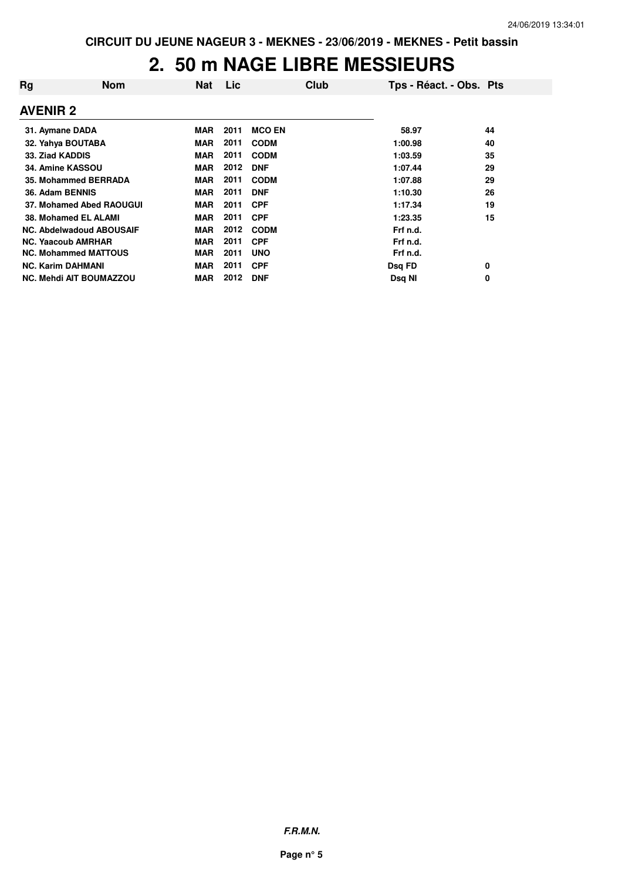#### **2. 50 m NAGE LIBRE MESSIEURS**

| Rg              | <b>Nom</b>                      | <b>Nat</b> | Lic  | Club          | Tps - Réact. - Obs. Pts |    |
|-----------------|---------------------------------|------------|------|---------------|-------------------------|----|
| <b>AVENIR 2</b> |                                 |            |      |               |                         |    |
| 31. Aymane DADA |                                 | <b>MAR</b> | 2011 | <b>MCO EN</b> | 58.97                   | 44 |
|                 | 32. Yahya BOUTABA               | <b>MAR</b> | 2011 | <b>CODM</b>   | 1:00.98                 | 40 |
| 33. Ziad KADDIS |                                 | <b>MAR</b> | 2011 | <b>CODM</b>   | 1:03.59                 | 35 |
|                 | 34. Amine KASSOU                | <b>MAR</b> | 2012 | <b>DNF</b>    | 1:07.44                 | 29 |
|                 | 35. Mohammed BERRADA            | <b>MAR</b> | 2011 | <b>CODM</b>   | 1:07.88                 | 29 |
| 36. Adam BENNIS |                                 | <b>MAR</b> | 2011 | <b>DNF</b>    | 1:10.30                 | 26 |
|                 | 37. Mohamed Abed RAOUGUI        | <b>MAR</b> | 2011 | <b>CPF</b>    | 1:17.34                 | 19 |
|                 | 38. Mohamed EL ALAMI            | <b>MAR</b> | 2011 | <b>CPF</b>    | 1:23.35                 | 15 |
|                 | <b>NC. Abdelwadoud ABOUSAIF</b> | <b>MAR</b> | 2012 | <b>CODM</b>   | Frf n.d.                |    |
|                 | <b>NC. Yaacoub AMRHAR</b>       | <b>MAR</b> | 2011 | <b>CPF</b>    | Frf n.d.                |    |
|                 | <b>NC. Mohammed MATTOUS</b>     | <b>MAR</b> | 2011 | <b>UNO</b>    | Frf n.d.                |    |
|                 | <b>NC. Karim DAHMANI</b>        | <b>MAR</b> | 2011 | <b>CPF</b>    | Dsq FD                  | 0  |
|                 | <b>NC. Mehdi AIT BOUMAZZOU</b>  | <b>MAR</b> | 2012 | <b>DNF</b>    | Dsg NI                  | 0  |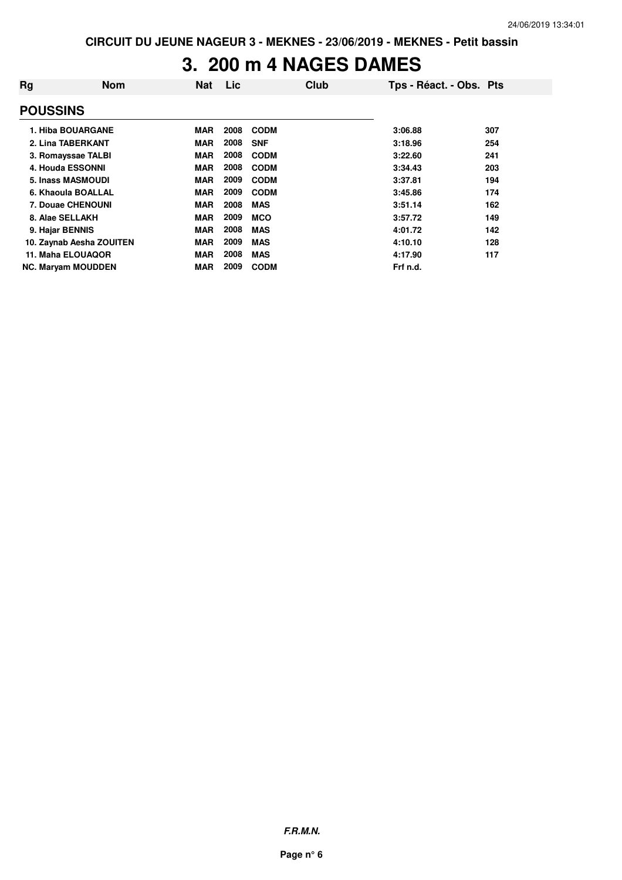# **3. 200 m 4 NAGES DAMES**

| Rg                        | <b>Nom</b>               | <b>Nat</b> | Lic  | Club        | Tps - Réact. - Obs. Pts |     |
|---------------------------|--------------------------|------------|------|-------------|-------------------------|-----|
| <b>POUSSINS</b>           |                          |            |      |             |                         |     |
| 1. Hiba BOUARGANE         |                          | <b>MAR</b> | 2008 | <b>CODM</b> | 3:06.88                 | 307 |
| 2. Lina TABERKANT         |                          | <b>MAR</b> | 2008 | <b>SNF</b>  | 3:18.96                 | 254 |
| 3. Romayssae TALBI        |                          | <b>MAR</b> | 2008 | <b>CODM</b> | 3:22.60                 | 241 |
| 4. Houda ESSONNI          |                          | <b>MAR</b> | 2008 | <b>CODM</b> | 3:34.43                 | 203 |
| 5. Inass MASMOUDI         |                          | <b>MAR</b> | 2009 | <b>CODM</b> | 3:37.81                 | 194 |
| 6. Khaoula BOALLAL        |                          | <b>MAR</b> | 2009 | <b>CODM</b> | 3:45.86                 | 174 |
| <b>7. Douae CHENOUNI</b>  |                          | <b>MAR</b> | 2008 | <b>MAS</b>  | 3:51.14                 | 162 |
| 8. Alae SELLAKH           |                          | <b>MAR</b> | 2009 | <b>MCO</b>  | 3:57.72                 | 149 |
| 9. Hajar BENNIS           |                          | <b>MAR</b> | 2008 | <b>MAS</b>  | 4:01.72                 | 142 |
|                           | 10. Zaynab Aesha ZOUITEN | <b>MAR</b> | 2009 | <b>MAS</b>  | 4:10.10                 | 128 |
| 11. Maha ELOUAQOR         |                          | <b>MAR</b> | 2008 | <b>MAS</b>  | 4:17.90                 | 117 |
| <b>NC. Maryam MOUDDEN</b> |                          | <b>MAR</b> | 2009 | <b>CODM</b> | Frf n.d.                |     |

**F.R.M.N.**

**Page n° 6**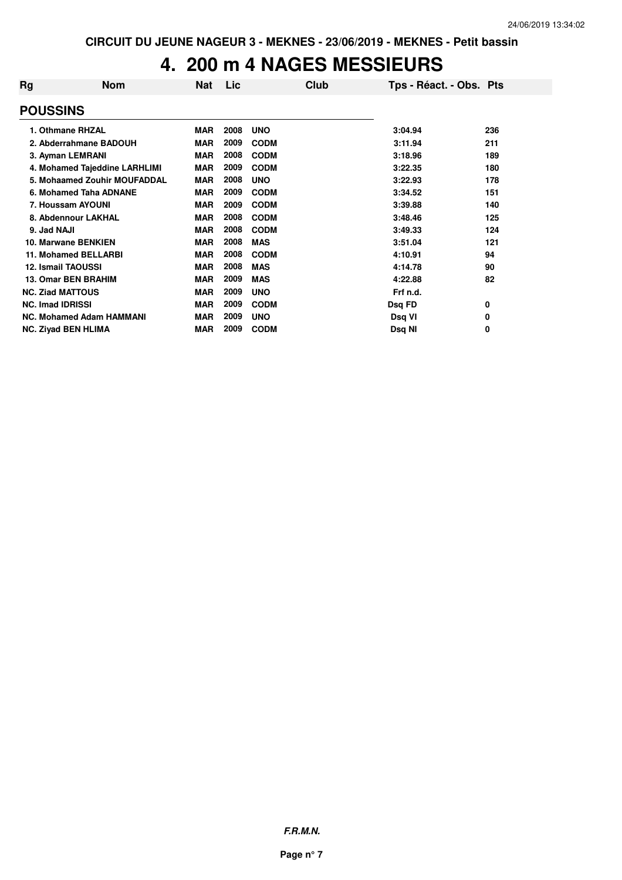# **4. 200 m 4 NAGES MESSIEURS**

| Rg                      | <b>Nom</b>                      | Nat        | Lic  | Club        | Tps - Réact. - Obs. Pts |     |
|-------------------------|---------------------------------|------------|------|-------------|-------------------------|-----|
| <b>POUSSINS</b>         |                                 |            |      |             |                         |     |
|                         | 1. Othmane RHZAL                | <b>MAR</b> | 2008 | <b>UNO</b>  | 3:04.94                 | 236 |
|                         | 2. Abderrahmane BADOUH          | <b>MAR</b> | 2009 | <b>CODM</b> | 3:11.94                 | 211 |
|                         | 3. Ayman LEMRANI                | <b>MAR</b> | 2008 | <b>CODM</b> | 3:18.96                 | 189 |
|                         | 4. Mohamed Tajeddine LARHLIMI   | <b>MAR</b> | 2009 | <b>CODM</b> | 3:22.35                 | 180 |
|                         | 5. Mohaamed Zouhir MOUFADDAL    | <b>MAR</b> | 2008 | <b>UNO</b>  | 3:22.93                 | 178 |
|                         | 6. Mohamed Taha ADNANE          | <b>MAR</b> | 2009 | <b>CODM</b> | 3:34.52                 | 151 |
|                         | 7. Houssam AYOUNI               | <b>MAR</b> | 2009 | <b>CODM</b> | 3:39.88                 | 140 |
|                         | 8. Abdennour LAKHAL             | <b>MAR</b> | 2008 | <b>CODM</b> | 3:48.46                 | 125 |
| 9. Jad NAJI             |                                 | <b>MAR</b> | 2008 | <b>CODM</b> | 3:49.33                 | 124 |
|                         | 10. Marwane BENKIEN             | <b>MAR</b> | 2008 | <b>MAS</b>  | 3:51.04                 | 121 |
|                         | <b>11. Mohamed BELLARBI</b>     | <b>MAR</b> | 2008 | <b>CODM</b> | 4:10.91                 | 94  |
|                         | <b>12. Ismail TAOUSSI</b>       | <b>MAR</b> | 2008 | <b>MAS</b>  | 4:14.78                 | 90  |
|                         | <b>13. Omar BEN BRAHIM</b>      | <b>MAR</b> | 2009 | <b>MAS</b>  | 4:22.88                 | 82  |
| <b>NC. Ziad MATTOUS</b> |                                 | <b>MAR</b> | 2009 | <b>UNO</b>  | Frf n.d.                |     |
| <b>NC. Imad IDRISSI</b> |                                 | <b>MAR</b> | 2009 | <b>CODM</b> | Dsq FD                  | 0   |
|                         | <b>NC. Mohamed Adam HAMMANI</b> | <b>MAR</b> | 2009 | <b>UNO</b>  | Dsq VI                  | 0   |
|                         | <b>NC. Ziyad BEN HLIMA</b>      | <b>MAR</b> | 2009 | <b>CODM</b> | Dsg NI                  | 0   |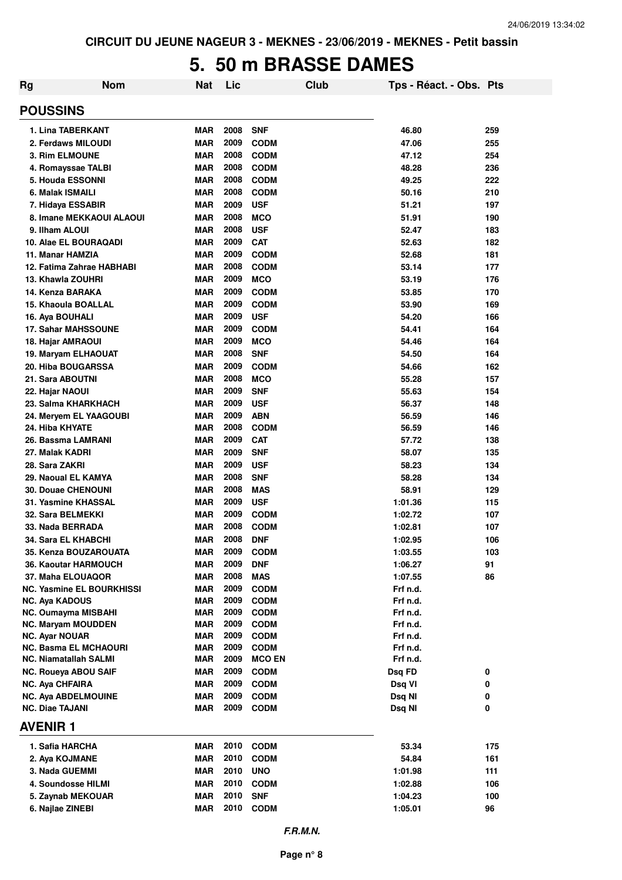# **5. 50 m BRASSE DAMES**

| Rg | <b>Nom</b>                                       | Nat        | Lic          | <b>Club</b>                | Tps - Réact. - Obs. Pts |     |
|----|--------------------------------------------------|------------|--------------|----------------------------|-------------------------|-----|
|    | <b>POUSSINS</b>                                  |            |              |                            |                         |     |
|    | 1. Lina TABERKANT                                | MAR        | 2008         | <b>SNF</b>                 | 46.80                   | 259 |
|    | 2. Ferdaws MILOUDI                               | <b>MAR</b> | 2009         | <b>CODM</b>                | 47.06                   | 255 |
|    | <b>3. Rim ELMOUNE</b>                            | <b>MAR</b> | 2008         | <b>CODM</b>                | 47.12                   | 254 |
|    | 4. Romayssae TALBI                               | <b>MAR</b> | 2008         | <b>CODM</b>                | 48.28                   | 236 |
|    | <b>5. Houda ESSONNI</b>                          | <b>MAR</b> | 2008         | <b>CODM</b>                | 49.25                   | 222 |
|    | 6. Malak ISMAILI                                 | <b>MAR</b> | 2008         | <b>CODM</b>                | 50.16                   | 210 |
|    | 7. Hidaya ESSABIR                                | <b>MAR</b> | 2009         | <b>USF</b>                 | 51.21                   | 197 |
|    | 8. Imane MEKKAOUI ALAOUI                         | <b>MAR</b> | 2008         | <b>MCO</b>                 | 51.91                   | 190 |
|    | 9. Ilham ALOUI                                   | <b>MAR</b> | 2008         | <b>USF</b>                 | 52.47                   | 183 |
|    | 10. Alae EL BOURAQADI                            | <b>MAR</b> | 2009         | <b>CAT</b>                 | 52.63                   | 182 |
|    | 11. Manar HAMZIA                                 | <b>MAR</b> | 2009         | <b>CODM</b>                | 52.68                   | 181 |
|    | 12. Fatima Zahrae HABHABI                        | <b>MAR</b> | 2008         | <b>CODM</b>                | 53.14                   | 177 |
|    | 13. Khawla ZOUHRI                                | <b>MAR</b> | 2009         | <b>MCO</b>                 | 53.19                   | 176 |
|    | 14. Kenza BARAKA                                 | <b>MAR</b> | 2009         | <b>CODM</b>                | 53.85                   | 170 |
|    | 15. Khaoula BOALLAL                              | <b>MAR</b> | 2009         | <b>CODM</b>                | 53.90                   | 169 |
|    | 16. Aya BOUHALI                                  | <b>MAR</b> | 2009         | <b>USF</b>                 | 54.20                   | 166 |
|    | <b>17. Sahar MAHSSOUNE</b>                       | <b>MAR</b> | 2009         | <b>CODM</b>                | 54.41                   | 164 |
|    | 18. Hajar AMRAOUI                                | <b>MAR</b> | 2009         | <b>MCO</b>                 | 54.46                   | 164 |
|    | 19. Maryam ELHAOUAT                              | <b>MAR</b> | 2008         | <b>SNF</b>                 | 54.50                   | 164 |
|    | 20. Hiba BOUGARSSA                               | <b>MAR</b> | 2009         | <b>CODM</b>                | 54.66                   | 162 |
|    | 21. Sara ABOUTNI                                 | <b>MAR</b> | 2008         | <b>MCO</b>                 | 55.28                   | 157 |
|    | 22. Hajar NAOUI                                  | <b>MAR</b> | 2009         | <b>SNF</b>                 | 55.63                   | 154 |
|    | 23. Salma KHARKHACH                              | <b>MAR</b> | 2009         | <b>USF</b>                 | 56.37                   | 148 |
|    | 24. Meryem EL YAAGOUBI                           | <b>MAR</b> | 2009         | <b>ABN</b>                 | 56.59                   | 146 |
|    | 24. Hiba KHYATE                                  | <b>MAR</b> | 2008         | <b>CODM</b>                | 56.59                   | 146 |
|    | 26. Bassma LAMRANI                               | <b>MAR</b> | 2009         | <b>CAT</b>                 | 57.72                   | 138 |
|    | 27. Malak KADRI                                  | MAR        | 2009         | <b>SNF</b>                 | 58.07                   | 135 |
|    | 28. Sara ZAKRI                                   | <b>MAR</b> | 2009         | <b>USF</b>                 | 58.23                   | 134 |
|    | 29. Naoual EL KAMYA                              | <b>MAR</b> | 2008         | <b>SNF</b>                 | 58.28                   | 134 |
|    | <b>30. Douae CHENOUNI</b>                        | <b>MAR</b> | 2008         | <b>MAS</b>                 | 58.91                   | 129 |
|    | 31. Yasmine KHASSAL                              | <b>MAR</b> | 2009         | <b>USF</b>                 | 1:01.36                 | 115 |
|    | 32. Sara BELMEKKI                                | <b>MAR</b> | 2009         | <b>CODM</b>                | 1:02.72                 | 107 |
|    | 33. Nada BERRADA                                 | <b>MAR</b> | 2008         | <b>CODM</b>                | 1:02.81                 | 107 |
|    | 34. Sara EL KHABCHI                              | <b>MAR</b> | 2008         | <b>DNF</b>                 | 1:02.95                 | 106 |
|    | 35. Kenza BOUZAROUATA                            | MAR        | 2009         | <b>CODM</b>                | 1:03.55                 | 103 |
|    | <b>36. Kaoutar HARMOUCH</b>                      | <b>MAR</b> | 2009         | <b>DNF</b>                 | 1:06.27                 | 91  |
|    | 37. Maha ELOUAQOR                                | MAR        | 2008         | <b>MAS</b>                 | 1:07.55                 | 86  |
|    | <b>NC. Yasmine EL BOURKHISSI</b>                 | <b>MAR</b> | 2009         | <b>CODM</b>                | Frf n.d.                |     |
|    | <b>NC. Aya KADOUS</b>                            | MAR<br>MAR | 2009<br>2009 | <b>CODM</b><br><b>CODM</b> | Frf n.d.<br>Frf n.d.    |     |
|    | NC. Oumayma MISBAHI<br><b>NC. Maryam MOUDDEN</b> | MAR        | 2009         | <b>CODM</b>                | Frf n.d.                |     |
|    | <b>NC. Ayar NOUAR</b>                            | <b>MAR</b> | 2009         | <b>CODM</b>                | Frf n.d.                |     |
|    | <b>NC. Basma EL MCHAOURI</b>                     | MAR        | 2009         | <b>CODM</b>                | Frf n.d.                |     |
|    | <b>NC. Niamatallah SALMI</b>                     | <b>MAR</b> | 2009         | <b>MCO EN</b>              | Frf n.d.                |     |
|    | <b>NC. Roueya ABOU SAIF</b>                      | MAR        | 2009         | <b>CODM</b>                | Dsq FD                  | 0   |
|    | <b>NC. Aya CHFAIRA</b>                           | MAR        | 2009         | <b>CODM</b>                | Dsq VI                  | 0   |
|    | <b>NC. Aya ABDELMOUINE</b>                       | MAR        | 2009         | <b>CODM</b>                | Dsq NI                  | 0   |
|    | <b>NC. Diae TAJANI</b>                           | <b>MAR</b> | 2009         | <b>CODM</b>                | Dsq NI                  | 0   |
|    | <b>AVENIR1</b>                                   |            |              |                            |                         |     |
|    | 1. Safia HARCHA                                  | MAR        | 2010         | <b>CODM</b>                | 53.34                   | 175 |
|    | 2. Aya KOJMANE                                   | MAR        | 2010         | <b>CODM</b>                | 54.84                   | 161 |
|    | 3. Nada GUEMMI                                   | MAR        | 2010         | <b>UNO</b>                 | 1:01.98                 | 111 |
|    | 4. Soundosse HILMI                               | MAR        | 2010         | <b>CODM</b>                | 1:02.88                 | 106 |
|    | 5. Zaynab MEKOUAR                                | <b>MAR</b> | 2010         | <b>SNF</b>                 | 1:04.23                 | 100 |
|    | 6. Najlae ZINEBI                                 | <b>MAR</b> | 2010         | <b>CODM</b>                | 1:05.01                 | 96  |
|    |                                                  |            |              |                            |                         |     |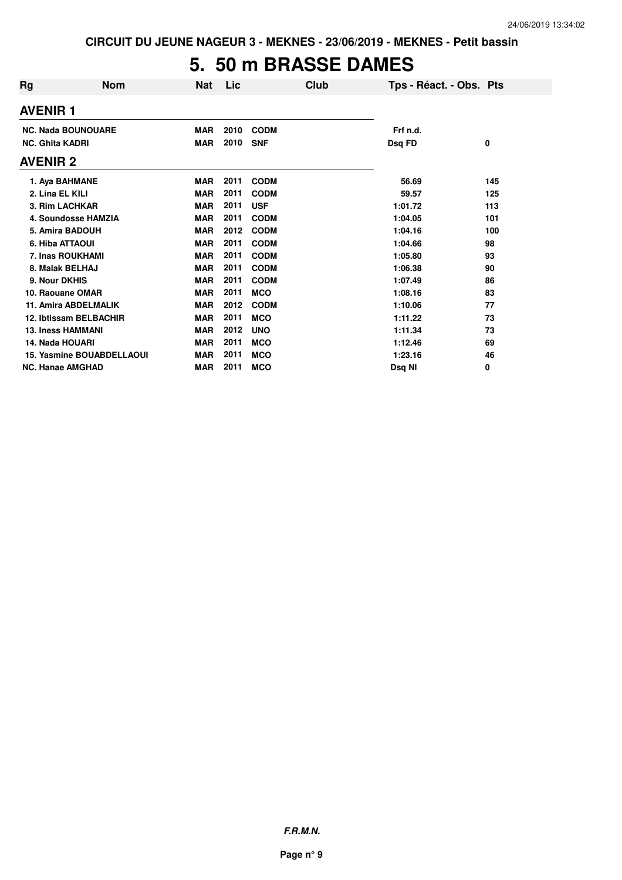## **5. 50 m BRASSE DAMES**

| Rg | <b>Nom</b>                                          | <b>Nat</b>               | Lic          |                           | Club | Tps - Réact. - Obs. Pts |     |
|----|-----------------------------------------------------|--------------------------|--------------|---------------------------|------|-------------------------|-----|
|    | <b>AVENIR 1</b>                                     |                          |              |                           |      |                         |     |
|    | <b>NC. Nada BOUNOUARE</b><br><b>NC. Ghita KADRI</b> | <b>MAR</b><br><b>MAR</b> | 2010<br>2010 | <b>CODM</b><br><b>SNF</b> |      | Frf n.d.<br>Dsq FD      | 0   |
|    | AVENIR 2                                            |                          |              |                           |      |                         |     |
|    | 1. Aya BAHMANE                                      | <b>MAR</b>               | 2011         | <b>CODM</b>               |      | 56.69                   | 145 |
|    | 2. Lina EL KILI                                     | <b>MAR</b>               | 2011         | <b>CODM</b>               |      | 59.57                   | 125 |
|    | 3. Rim LACHKAR                                      | <b>MAR</b>               | 2011         | <b>USF</b>                |      | 1:01.72                 | 113 |
|    | 4. Soundosse HAMZIA                                 | <b>MAR</b>               | 2011         | <b>CODM</b>               |      | 1:04.05                 | 101 |
|    | 5. Amira BADOUH                                     | <b>MAR</b>               | 2012         | <b>CODM</b>               |      | 1:04.16                 | 100 |
|    | 6. Hiba ATTAOUI                                     | <b>MAR</b>               | 2011         | <b>CODM</b>               |      | 1:04.66                 | 98  |
|    | 7. Inas ROUKHAMI                                    | <b>MAR</b>               | 2011         | <b>CODM</b>               |      | 1:05.80                 | 93  |
|    | 8. Malak BELHAJ                                     | <b>MAR</b>               | 2011         | <b>CODM</b>               |      | 1:06.38                 | 90  |
|    | 9. Nour DKHIS                                       | <b>MAR</b>               | 2011         | <b>CODM</b>               |      | 1:07.49                 | 86  |
|    | 10. Raouane OMAR                                    | <b>MAR</b>               | 2011         | <b>MCO</b>                |      | 1:08.16                 | 83  |
|    | <b>11. Amira ABDELMALIK</b>                         | <b>MAR</b>               | 2012         | <b>CODM</b>               |      | 1:10.06                 | 77  |
|    | 12. Ibtissam BELBACHIR                              | <b>MAR</b>               | 2011         | <b>MCO</b>                |      | 1:11.22                 | 73  |
|    | <b>13. Iness HAMMANI</b>                            | <b>MAR</b>               | 2012         | <b>UNO</b>                |      | 1:11.34                 | 73  |
|    | 14. Nada HOUARI                                     | <b>MAR</b>               | 2011         | <b>MCO</b>                |      | 1:12.46                 | 69  |
|    | <b>15. Yasmine BOUABDELLAOUI</b>                    | <b>MAR</b>               | 2011         | <b>MCO</b>                |      | 1:23.16                 | 46  |
|    | <b>NC. Hanae AMGHAD</b>                             | <b>MAR</b>               | 2011         | <b>MCO</b>                |      | Dsq NI                  | 0   |
|    |                                                     |                          |              |                           |      |                         |     |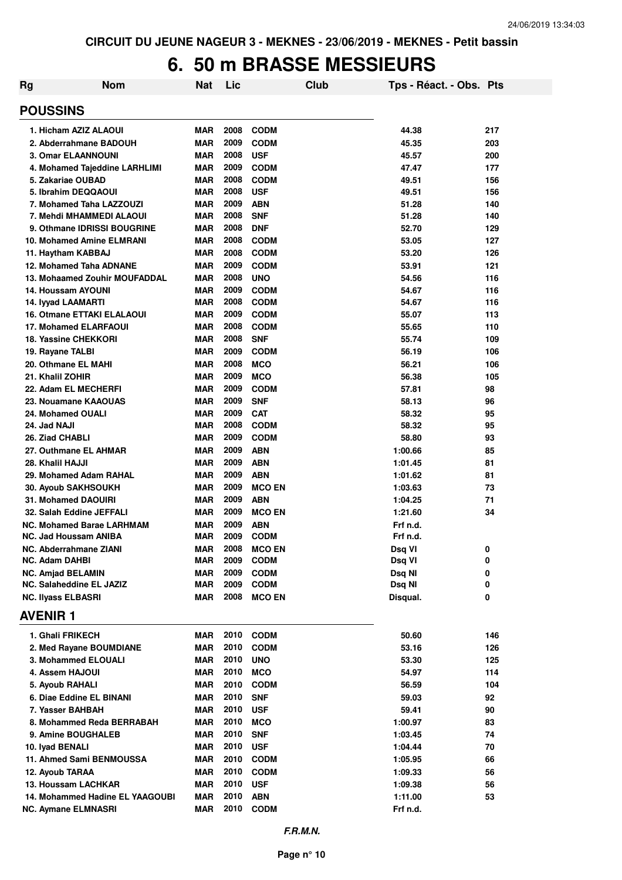#### **6. 50 m BRASSE MESSIEURS**

| <b>Nom</b><br>Rg                                         | Nat        | Lic          |                           | Club | Tps - Réact. - Obs. Pts |          |
|----------------------------------------------------------|------------|--------------|---------------------------|------|-------------------------|----------|
| <b>POUSSINS</b>                                          |            |              |                           |      |                         |          |
| 1. Hicham AZIZ ALAOUI                                    | MAR        | 2008         | <b>CODM</b>               |      | 44.38                   | 217      |
| 2. Abderrahmane BADOUH                                   | MAR        | 2009         | <b>CODM</b>               |      | 45.35                   | 203      |
| <b>3. Omar ELAANNOUNI</b>                                | MAR        | 2008         | <b>USF</b>                |      | 45.57                   | 200      |
| 4. Mohamed Tajeddine LARHLIMI                            | MAR        | 2009         | <b>CODM</b>               |      | 47.47                   | 177      |
| 5. Zakariae OUBAD                                        | MAR        | 2008         | <b>CODM</b>               |      | 49.51                   | 156      |
| 5. Ibrahim DEQQAOUI                                      | <b>MAR</b> | 2008         | <b>USF</b>                |      | 49.51                   | 156      |
| 7. Mohamed Taha LAZZOUZI                                 | <b>MAR</b> | 2009         | <b>ABN</b>                |      | 51.28                   | 140      |
| 7. Mehdi MHAMMEDI ALAOUI                                 | <b>MAR</b> | 2008         | <b>SNF</b>                |      | 51.28                   | 140      |
| 9. Othmane IDRISSI BOUGRINE                              | <b>MAR</b> | 2008         | <b>DNF</b>                |      | 52.70                   | 129      |
| 10. Mohamed Amine ELMRANI                                | <b>MAR</b> | 2008         | <b>CODM</b>               |      | 53.05                   | 127      |
| 11. Haytham KABBAJ                                       | MAR        | 2008         | <b>CODM</b>               |      | 53.20                   | 126      |
| 12. Mohamed Taha ADNANE                                  | <b>MAR</b> | 2009         | <b>CODM</b>               |      | 53.91                   | 121      |
| 13. Mohaamed Zouhir MOUFADDAL                            | <b>MAR</b> | 2008         | <b>UNO</b>                |      | 54.56                   | 116      |
| <b>14. Houssam AYOUNI</b>                                | MAR        | 2009         | <b>CODM</b>               |      | 54.67                   | 116      |
| 14. lyyad LAAMARTI                                       | <b>MAR</b> | 2008         | <b>CODM</b>               |      | 54.67                   | 116      |
| <b>16. Otmane ETTAKI ELALAOUI</b>                        | MAR        | 2009         | <b>CODM</b>               |      | 55.07                   | 113      |
| <b>17. Mohamed ELARFAOUI</b>                             | MAR        | 2008         | <b>CODM</b>               |      | 55.65                   | 110      |
| <b>18. Yassine CHEKKORI</b>                              | <b>MAR</b> | 2008         | <b>SNF</b>                |      | 55.74                   | 109      |
| 19. Rayane TALBI                                         | <b>MAR</b> | 2009         | <b>CODM</b>               |      | 56.19                   | 106      |
| 20. Othmane EL MAHI                                      | <b>MAR</b> | 2008         | <b>MCO</b>                |      | 56.21                   | 106      |
| 21. Khalil ZOHIR                                         | <b>MAR</b> | 2009         | <b>MCO</b>                |      | 56.38                   | 105      |
| 22. Adam EL MECHERFI                                     | <b>MAR</b> | 2009         | <b>CODM</b>               |      | 57.81                   | 98       |
| 23. Nouamane KAAOUAS                                     | <b>MAR</b> | 2009         | <b>SNF</b>                |      | 58.13                   | 96       |
| 24. Mohamed OUALI                                        | <b>MAR</b> | 2009<br>2008 | <b>CAT</b>                |      | 58.32                   | 95       |
| 24. Jad NAJI                                             | MAR        | 2009         | <b>CODM</b>               |      | 58.32                   | 95<br>93 |
| 26. Ziad CHABLI                                          | MAR        | 2009         | <b>CODM</b><br><b>ABN</b> |      | 58.80                   |          |
| 27. Outhmane EL AHMAR                                    | MAR        | 2009         | <b>ABN</b>                |      | 1:00.66                 | 85<br>81 |
| 28. Khalil HAJJI                                         | MAR        | 2009         | <b>ABN</b>                |      | 1:01.45                 |          |
| 29. Mohamed Adam RAHAL                                   | MAR<br>MAR | 2009         | <b>MCO EN</b>             |      | 1:01.62                 | 81       |
| <b>30. Ayoub SAKHSOUKH</b><br><b>31. Mohamed DAOUIRI</b> | MAR        | 2009         | <b>ABN</b>                |      | 1:03.63<br>1:04.25      | 73<br>71 |
| 32. Salah Eddine JEFFALI                                 | MAR        | 2009         | <b>MCO EN</b>             |      | 1:21.60                 | 34       |
| <b>NC. Mohamed Barae LARHMAM</b>                         | <b>MAR</b> | 2009         | <b>ABN</b>                |      | Frf n.d.                |          |
| <b>NC. Jad Houssam ANIBA</b>                             | <b>MAR</b> | 2009         | <b>CODM</b>               |      | Frf n.d.                |          |
| NC. Abderrahmane ZIANI                                   | <b>MAR</b> | 2008         | <b>MCO EN</b>             |      | Dsq VI                  | 0        |
| NC. Adam DAHBI                                           | MAR        | 2009         | <b>CODM</b>               |      | Dsq VI                  | 0        |
| <b>NC. Amjad BELAMIN</b>                                 | <b>MAR</b> | 2009         | <b>CODM</b>               |      | Dsq NI                  | 0        |
| NC. Salaheddine EL JAZIZ                                 | MAR        | 2009         | <b>CODM</b>               |      | Dsq NI                  | 0        |
| <b>NC. Ilyass ELBASRI</b>                                | MAR        | 2008         | <b>MCO EN</b>             |      | Disqual.                | 0        |
| <b>AVENIR 1</b>                                          |            |              |                           |      |                         |          |
| 1. Ghali FRIKECH                                         | MAR        |              | 2010 CODM                 |      | 50.60                   | 146      |
| 2. Med Rayane BOUMDIANE                                  | MAR        | 2010         | <b>CODM</b>               |      | 53.16                   | 126      |
| 3. Mohammed ELOUALI                                      | MAR        | 2010         | <b>UNO</b>                |      | 53.30                   | 125      |
| 4. Assem HAJOUI                                          | MAR        | 2010         | <b>MCO</b>                |      | 54.97                   | 114      |
| 5. Ayoub RAHALI                                          | MAR        | 2010         | <b>CODM</b>               |      | 56.59                   | 104      |
| 6. Diae Eddine EL BINANI                                 | <b>MAR</b> | 2010         | <b>SNF</b>                |      | 59.03                   | 92       |
| 7. Yasser BAHBAH                                         | <b>MAR</b> | 2010         | <b>USF</b>                |      | 59.41                   | 90       |
| 8. Mohammed Reda BERRABAH                                | MAR        | 2010         | <b>MCO</b>                |      | 1:00.97                 | 83       |
| 9. Amine BOUGHALEB                                       | MAR        | 2010         | <b>SNF</b>                |      | 1:03.45                 | 74       |
| 10. Iyad BENALI                                          | MAR        | 2010         | <b>USF</b>                |      | 1:04.44                 | 70       |
| 11. Ahmed Sami BENMOUSSA                                 | MAR        |              | 2010 CODM                 |      | 1:05.95                 | 66       |
| 12. Ayoub TARAA                                          | <b>MAR</b> | 2010         | <b>CODM</b>               |      | 1:09.33                 | 56       |
| 13. Houssam LACHKAR                                      | <b>MAR</b> | 2010         | <b>USF</b>                |      | 1:09.38                 | 56       |
| 14. Mohammed Hadine EL YAAGOUBI                          | MAR        | 2010         | <b>ABN</b>                |      | 1:11.00                 | 53       |
| <b>NC. Aymane ELMNASRI</b>                               | <b>MAR</b> |              | 2010 CODM                 |      | Frf n.d.                |          |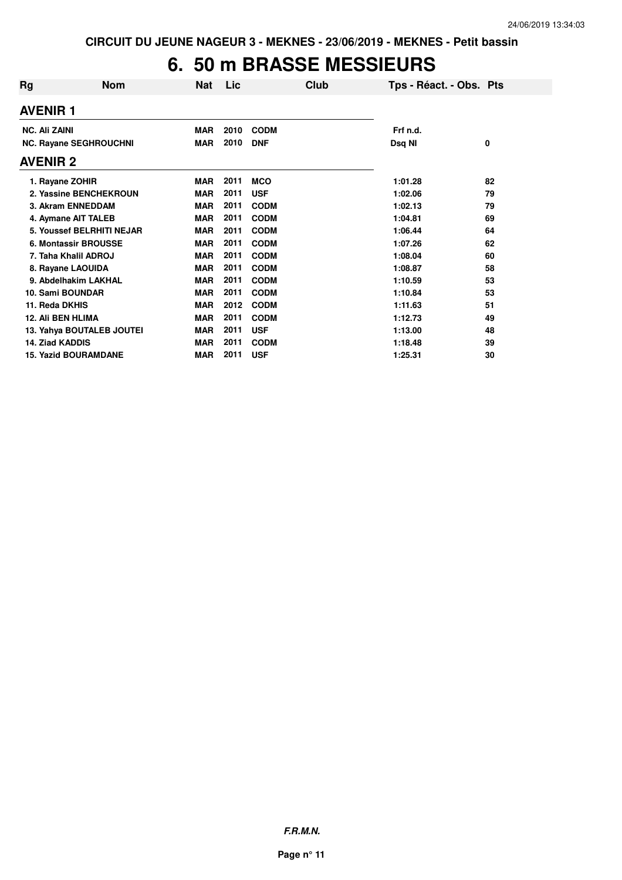# **6. 50 m BRASSE MESSIEURS**

| Rg                       | <b>Nom</b>                    | <b>Nat</b> | Lic  | Club        | Tps - Réact. - Obs. Pts |    |
|--------------------------|-------------------------------|------------|------|-------------|-------------------------|----|
| <b>AVENIR 1</b>          |                               |            |      |             |                         |    |
| <b>NC. Ali ZAINI</b>     |                               | <b>MAR</b> | 2010 | <b>CODM</b> | Frf n.d.                |    |
|                          | <b>NC. Rayane SEGHROUCHNI</b> | MAR        | 2010 | <b>DNF</b>  | Dsq NI                  | 0  |
| <b>AVENIR 2</b>          |                               |            |      |             |                         |    |
| 1. Rayane ZOHIR          |                               | <b>MAR</b> | 2011 | <b>MCO</b>  | 1:01.28                 | 82 |
|                          | 2. Yassine BENCHEKROUN        | <b>MAR</b> | 2011 | <b>USF</b>  | 1:02.06                 | 79 |
| 3. Akram ENNEDDAM        |                               | <b>MAR</b> | 2011 | <b>CODM</b> | 1:02.13                 | 79 |
| 4. Aymane AIT TALEB      |                               | <b>MAR</b> | 2011 | <b>CODM</b> | 1:04.81                 | 69 |
|                          | 5. Youssef BELRHITI NEJAR     | <b>MAR</b> | 2011 | <b>CODM</b> | 1:06.44                 | 64 |
|                          | 6. Montassir BROUSSE          | <b>MAR</b> | 2011 | <b>CODM</b> | 1:07.26                 | 62 |
| 7. Taha Khalil ADROJ     |                               | <b>MAR</b> | 2011 | <b>CODM</b> | 1:08.04                 | 60 |
| 8. Rayane LAOUIDA        |                               | <b>MAR</b> | 2011 | <b>CODM</b> | 1:08.87                 | 58 |
|                          | 9. Abdelhakim LAKHAL          | <b>MAR</b> | 2011 | <b>CODM</b> | 1:10.59                 | 53 |
| 10. Sami BOUNDAR         |                               | <b>MAR</b> | 2011 | <b>CODM</b> | 1:10.84                 | 53 |
| 11. Reda DKHIS           |                               | <b>MAR</b> | 2012 | <b>CODM</b> | 1:11.63                 | 51 |
| <b>12. Ali BEN HLIMA</b> |                               | <b>MAR</b> | 2011 | <b>CODM</b> | 1:12.73                 | 49 |
|                          | 13. Yahya BOUTALEB JOUTEI     | <b>MAR</b> | 2011 | <b>USF</b>  | 1:13.00                 | 48 |
| <b>14. Ziad KADDIS</b>   |                               | <b>MAR</b> | 2011 | <b>CODM</b> | 1:18.48                 | 39 |
|                          | <b>15. Yazid BOURAMDANE</b>   | <b>MAR</b> | 2011 | <b>USF</b>  | 1:25.31                 | 30 |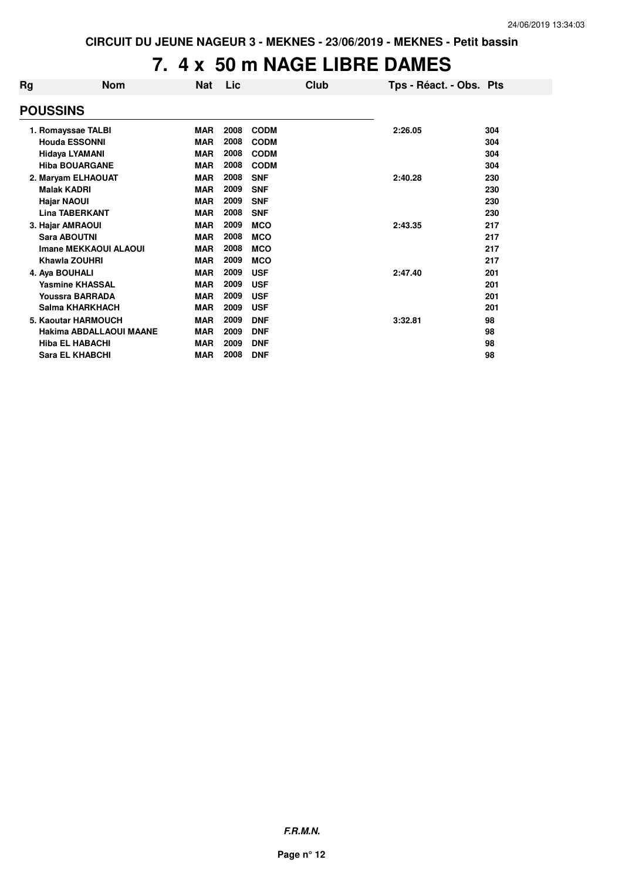# **7. 4 x 50 m NAGE LIBRE DAMES**

| Rg | <b>Nom</b>              | <b>Nat</b> | Lic  |             | Club | Tps - Réact. - Obs. Pts |     |
|----|-------------------------|------------|------|-------------|------|-------------------------|-----|
|    | <b>POUSSINS</b>         |            |      |             |      |                         |     |
|    | 1. Romayssae TALBI      | <b>MAR</b> | 2008 | <b>CODM</b> |      | 2:26.05                 | 304 |
|    | <b>Houda ESSONNI</b>    | <b>MAR</b> | 2008 | <b>CODM</b> |      |                         | 304 |
|    | <b>Hidaya LYAMANI</b>   | <b>MAR</b> | 2008 | <b>CODM</b> |      |                         | 304 |
|    | <b>Hiba BOUARGANE</b>   | <b>MAR</b> | 2008 | <b>CODM</b> |      |                         | 304 |
|    | 2. Maryam ELHAOUAT      | <b>MAR</b> | 2008 | <b>SNF</b>  |      | 2:40.28                 | 230 |
|    | <b>Malak KADRI</b>      | <b>MAR</b> | 2009 | <b>SNF</b>  |      |                         | 230 |
|    | <b>Hajar NAOUI</b>      | <b>MAR</b> | 2009 | <b>SNF</b>  |      |                         | 230 |
|    | <b>Lina TABERKANT</b>   | <b>MAR</b> | 2008 | <b>SNF</b>  |      |                         | 230 |
|    | 3. Hajar AMRAOUI        | <b>MAR</b> | 2009 | <b>MCO</b>  |      | 2:43.35                 | 217 |
|    | <b>Sara ABOUTNI</b>     | <b>MAR</b> | 2008 | <b>MCO</b>  |      |                         | 217 |
|    | Imane MEKKAOUI ALAOUI   | <b>MAR</b> | 2008 | <b>MCO</b>  |      |                         | 217 |
|    | Khawla ZOUHRI           | <b>MAR</b> | 2009 | <b>MCO</b>  |      |                         | 217 |
|    | 4. Aya BOUHALI          | <b>MAR</b> | 2009 | <b>USF</b>  |      | 2:47.40                 | 201 |
|    | <b>Yasmine KHASSAL</b>  | <b>MAR</b> | 2009 | <b>USF</b>  |      |                         | 201 |
|    | <b>Youssra BARRADA</b>  | <b>MAR</b> | 2009 | <b>USF</b>  |      |                         | 201 |
|    | Salma KHARKHACH         | <b>MAR</b> | 2009 | <b>USF</b>  |      |                         | 201 |
|    | 5. Kaoutar HARMOUCH     | <b>MAR</b> | 2009 | <b>DNF</b>  |      | 3:32.81                 | 98  |
|    | Hakima ABDALLAOUI MAANE | <b>MAR</b> | 2009 | <b>DNF</b>  |      |                         | 98  |
|    | <b>Hiba EL HABACHI</b>  | <b>MAR</b> | 2009 | <b>DNF</b>  |      |                         | 98  |
|    | <b>Sara EL KHABCHI</b>  | <b>MAR</b> | 2008 | <b>DNF</b>  |      |                         | 98  |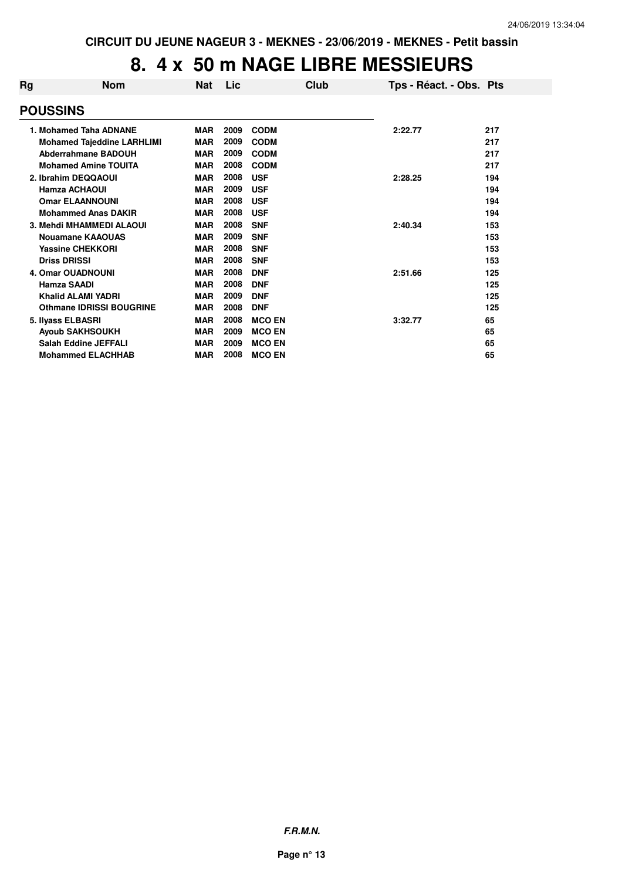#### **8. 4 x 50 m NAGE LIBRE MESSIEURS**

| <b>Nom</b> | <b>Nat</b>                                                                                                                                                                                                                                                                                                                                                                                                                                                                                                                                                                       | <b>Lic</b> | Club          | Tps - Réact. - Obs. Pts |     |
|------------|----------------------------------------------------------------------------------------------------------------------------------------------------------------------------------------------------------------------------------------------------------------------------------------------------------------------------------------------------------------------------------------------------------------------------------------------------------------------------------------------------------------------------------------------------------------------------------|------------|---------------|-------------------------|-----|
|            |                                                                                                                                                                                                                                                                                                                                                                                                                                                                                                                                                                                  |            |               |                         |     |
|            | <b>MAR</b>                                                                                                                                                                                                                                                                                                                                                                                                                                                                                                                                                                       | 2009       | <b>CODM</b>   | 2:22.77                 | 217 |
|            | <b>MAR</b>                                                                                                                                                                                                                                                                                                                                                                                                                                                                                                                                                                       | 2009       | <b>CODM</b>   |                         | 217 |
|            | <b>MAR</b>                                                                                                                                                                                                                                                                                                                                                                                                                                                                                                                                                                       | 2009       | <b>CODM</b>   |                         | 217 |
|            | <b>MAR</b>                                                                                                                                                                                                                                                                                                                                                                                                                                                                                                                                                                       | 2008       | <b>CODM</b>   |                         | 217 |
|            | <b>MAR</b>                                                                                                                                                                                                                                                                                                                                                                                                                                                                                                                                                                       | 2008       | <b>USF</b>    | 2:28.25                 | 194 |
|            | <b>MAR</b>                                                                                                                                                                                                                                                                                                                                                                                                                                                                                                                                                                       | 2009       | <b>USF</b>    |                         | 194 |
|            | <b>MAR</b>                                                                                                                                                                                                                                                                                                                                                                                                                                                                                                                                                                       | 2008       | <b>USF</b>    |                         | 194 |
|            | <b>MAR</b>                                                                                                                                                                                                                                                                                                                                                                                                                                                                                                                                                                       | 2008       | <b>USF</b>    |                         | 194 |
|            | <b>MAR</b>                                                                                                                                                                                                                                                                                                                                                                                                                                                                                                                                                                       | 2008       | <b>SNF</b>    | 2:40.34                 | 153 |
|            | <b>MAR</b>                                                                                                                                                                                                                                                                                                                                                                                                                                                                                                                                                                       | 2009       | <b>SNF</b>    |                         | 153 |
|            | <b>MAR</b>                                                                                                                                                                                                                                                                                                                                                                                                                                                                                                                                                                       | 2008       | <b>SNF</b>    |                         | 153 |
|            | <b>MAR</b>                                                                                                                                                                                                                                                                                                                                                                                                                                                                                                                                                                       | 2008       | <b>SNF</b>    |                         | 153 |
|            | <b>MAR</b>                                                                                                                                                                                                                                                                                                                                                                                                                                                                                                                                                                       | 2008       | <b>DNF</b>    | 2:51.66                 | 125 |
|            | <b>MAR</b>                                                                                                                                                                                                                                                                                                                                                                                                                                                                                                                                                                       | 2008       | <b>DNF</b>    |                         | 125 |
|            | <b>MAR</b>                                                                                                                                                                                                                                                                                                                                                                                                                                                                                                                                                                       | 2009       | <b>DNF</b>    |                         | 125 |
|            | <b>MAR</b>                                                                                                                                                                                                                                                                                                                                                                                                                                                                                                                                                                       | 2008       | <b>DNF</b>    |                         | 125 |
|            | <b>MAR</b>                                                                                                                                                                                                                                                                                                                                                                                                                                                                                                                                                                       | 2008       | <b>MCO EN</b> | 3:32.77                 | 65  |
|            | <b>MAR</b>                                                                                                                                                                                                                                                                                                                                                                                                                                                                                                                                                                       | 2009       | <b>MCO EN</b> |                         | 65  |
|            | <b>MAR</b>                                                                                                                                                                                                                                                                                                                                                                                                                                                                                                                                                                       | 2009       | <b>MCO EN</b> |                         | 65  |
|            | <b>MAR</b>                                                                                                                                                                                                                                                                                                                                                                                                                                                                                                                                                                       | 2008       | <b>MCO EN</b> |                         | 65  |
|            | <b>POUSSINS</b><br>1. Mohamed Taha ADNANE<br><b>Mohamed Tajeddine LARHLIMI</b><br><b>Abderrahmane BADOUH</b><br><b>Mohamed Amine TOUITA</b><br>2. Ibrahim DEQQAOUI<br><b>Hamza ACHAOUI</b><br><b>Omar ELAANNOUNI</b><br><b>Mohammed Anas DAKIR</b><br>3. Mehdi MHAMMEDI ALAOUI<br>Nouamane KAAOUAS<br><b>Yassine CHEKKORI</b><br><b>Driss DRISSI</b><br><b>4. Omar OUADNOUNI</b><br><b>Hamza SAADI</b><br><b>Khalid ALAMI YADRI</b><br><b>Othmane IDRISSI BOUGRINE</b><br>5. Ilyass ELBASRI<br><b>Ayoub SAKHSOUKH</b><br><b>Salah Eddine JEFFALI</b><br><b>Mohammed ELACHHAB</b> |            |               |                         |     |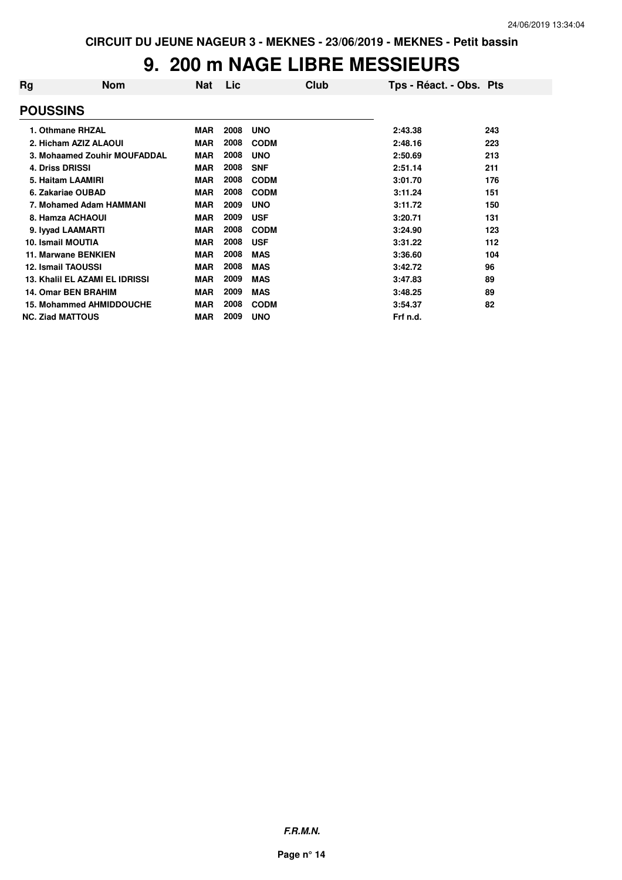# **9. 200 m NAGE LIBRE MESSIEURS**

| Rg                      | <b>Nom</b>                      | <b>Nat</b> | Lic  | Club        | Tps - Réact. - Obs. Pts |     |
|-------------------------|---------------------------------|------------|------|-------------|-------------------------|-----|
| <b>POUSSINS</b>         |                                 |            |      |             |                         |     |
|                         | 1. Othmane RHZAL                | <b>MAR</b> | 2008 | <b>UNO</b>  | 2:43.38                 | 243 |
|                         | 2. Hicham AZIZ ALAOUI           | <b>MAR</b> | 2008 | <b>CODM</b> | 2:48.16                 | 223 |
|                         | 3. Mohaamed Zouhir MOUFADDAL    | <b>MAR</b> | 2008 | <b>UNO</b>  | 2:50.69                 | 213 |
| <b>4. Driss DRISSI</b>  |                                 | <b>MAR</b> | 2008 | <b>SNF</b>  | 2:51.14                 | 211 |
|                         | 5. Haitam LAAMIRI               | <b>MAR</b> | 2008 | <b>CODM</b> | 3:01.70                 | 176 |
|                         | 6. Zakariae OUBAD               | <b>MAR</b> | 2008 | <b>CODM</b> | 3:11.24                 | 151 |
|                         | 7. Mohamed Adam HAMMANI         | <b>MAR</b> | 2009 | <b>UNO</b>  | 3:11.72                 | 150 |
|                         | 8. Hamza ACHAOUI                | <b>MAR</b> | 2009 | <b>USF</b>  | 3:20.71                 | 131 |
|                         | 9. Iyyad LAAMARTI               | <b>MAR</b> | 2008 | <b>CODM</b> | 3:24.90                 | 123 |
| 10. Ismail MOUTIA       |                                 | <b>MAR</b> | 2008 | <b>USF</b>  | 3:31.22                 | 112 |
|                         | 11. Marwane BENKIEN             | <b>MAR</b> | 2008 | <b>MAS</b>  | 3:36.60                 | 104 |
|                         | <b>12. Ismail TAOUSSI</b>       | <b>MAR</b> | 2008 | <b>MAS</b>  | 3:42.72                 | 96  |
|                         | 13. Khalil EL AZAMI EL IDRISSI  | <b>MAR</b> | 2009 | <b>MAS</b>  | 3:47.83                 | 89  |
|                         | <b>14. Omar BEN BRAHIM</b>      | <b>MAR</b> | 2009 | <b>MAS</b>  | 3:48.25                 | 89  |
|                         | <b>15. Mohammed AHMIDDOUCHE</b> | <b>MAR</b> | 2008 | <b>CODM</b> | 3:54.37                 | 82  |
| <b>NC. Ziad MATTOUS</b> |                                 | <b>MAR</b> | 2009 | <b>UNO</b>  | Frf n.d.                |     |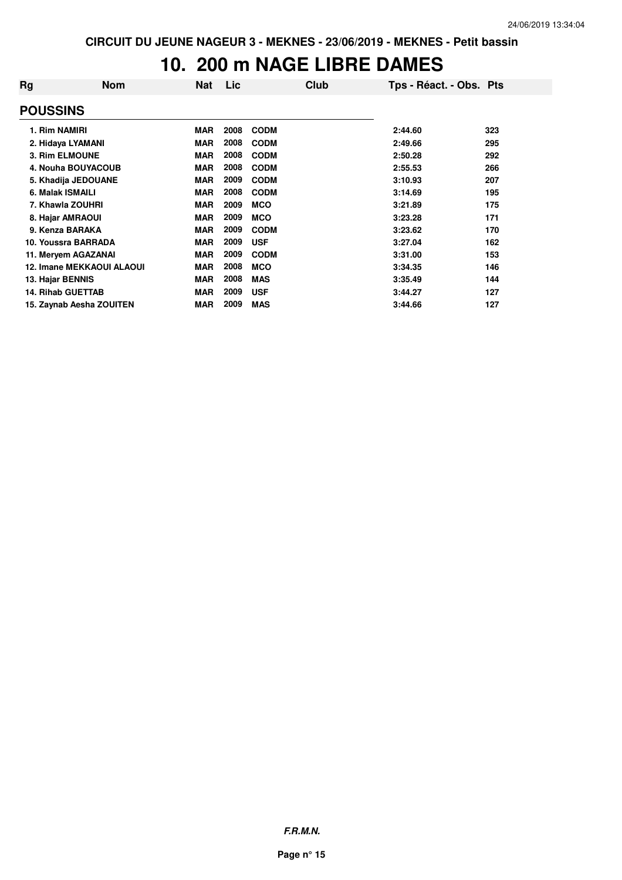#### **10. 200 m NAGE LIBRE DAMES**

| Rg               | <b>Nom</b>                       | <b>Nat</b> | Lic  | Club        | Tps - Réact. - Obs. Pts |     |
|------------------|----------------------------------|------------|------|-------------|-------------------------|-----|
| <b>POUSSINS</b>  |                                  |            |      |             |                         |     |
| 1. Rim NAMIRI    |                                  | <b>MAR</b> | 2008 | <b>CODM</b> | 2:44.60                 | 323 |
|                  | 2. Hidaya LYAMANI                | <b>MAR</b> | 2008 | <b>CODM</b> | 2:49.66                 | 295 |
|                  | 3. Rim ELMOUNE                   | <b>MAR</b> | 2008 | <b>CODM</b> | 2:50.28                 | 292 |
|                  | 4. Nouha BOUYACOUB               | <b>MAR</b> | 2008 | <b>CODM</b> | 2:55.53                 | 266 |
|                  | 5. Khadija JEDOUANE              | <b>MAR</b> | 2009 | <b>CODM</b> | 3:10.93                 | 207 |
| 6. Malak ISMAILI |                                  | <b>MAR</b> | 2008 | <b>CODM</b> | 3:14.69                 | 195 |
|                  | 7. Khawla ZOUHRI                 | <b>MAR</b> | 2009 | <b>MCO</b>  | 3:21.89                 | 175 |
|                  | 8. Hajar AMRAOUI                 | <b>MAR</b> | 2009 | <b>MCO</b>  | 3:23.28                 | 171 |
|                  | 9. Kenza BARAKA                  | <b>MAR</b> | 2009 | <b>CODM</b> | 3:23.62                 | 170 |
|                  | 10. Youssra BARRADA              | <b>MAR</b> | 2009 | <b>USF</b>  | 3:27.04                 | 162 |
|                  | 11. Mervem AGAZANAI              | <b>MAR</b> | 2009 | <b>CODM</b> | 3:31.00                 | 153 |
|                  | <b>12. Imane MEKKAOUI ALAOUI</b> | <b>MAR</b> | 2008 | <b>MCO</b>  | 3:34.35                 | 146 |
| 13. Hajar BENNIS |                                  | <b>MAR</b> | 2008 | <b>MAS</b>  | 3:35.49                 | 144 |
|                  | <b>14. Rihab GUETTAB</b>         | <b>MAR</b> | 2009 | <b>USF</b>  | 3:44.27                 | 127 |
|                  | 15. Zaynab Aesha ZOUITEN         | <b>MAR</b> | 2009 | <b>MAS</b>  | 3:44.66                 | 127 |

**F.R.M.N.**

**Page n° 15**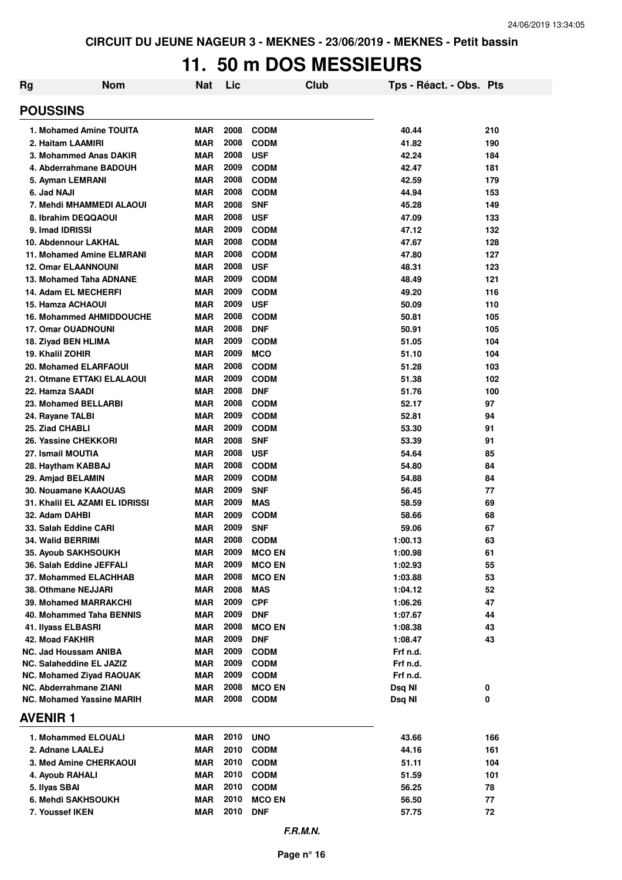# **11. 50 m DOS MESSIEURS**

| <b>Rg</b>                           | <b>Nom</b>                       | <b>Nat</b>               | Lic          | <b>Club</b>                | Tps - Réact. - Obs. Pts |           |
|-------------------------------------|----------------------------------|--------------------------|--------------|----------------------------|-------------------------|-----------|
| <b>POUSSINS</b>                     |                                  |                          |              |                            |                         |           |
|                                     | 1. Mohamed Amine TOUITA          | <b>MAR</b>               | 2008         | <b>CODM</b>                | 40.44                   | 210       |
| 2. Haitam LAAMIRI                   |                                  | <b>MAR</b>               | 2008         | <b>CODM</b>                | 41.82                   | 190       |
|                                     | 3. Mohammed Anas DAKIR           | <b>MAR</b>               | 2008         | <b>USF</b>                 | 42.24                   | 184       |
|                                     | 4. Abderrahmane BADOUH           | <b>MAR</b>               | 2009         | <b>CODM</b>                | 42.47                   | 181       |
| 5. Ayman LEMRANI                    |                                  | <b>MAR</b>               | 2008         | <b>CODM</b>                | 42.59                   | 179       |
| 6. Jad NAJI                         |                                  | <b>MAR</b>               | 2008         | <b>CODM</b>                | 44.94                   | 153       |
|                                     | 7. Mehdi MHAMMEDI ALAOUI         | <b>MAR</b>               | 2008         | <b>SNF</b>                 | 45.28                   | 149       |
| 8. Ibrahim DEQQAOUI                 |                                  | <b>MAR</b>               | 2008         | <b>USF</b>                 | 47.09                   | 133       |
| 9. Imad IDRISSI                     |                                  | <b>MAR</b>               | 2009         | <b>CODM</b>                | 47.12                   | 132       |
| 10. Abdennour LAKHAL                |                                  | <b>MAR</b>               | 2008         | <b>CODM</b>                | 47.67                   | 128       |
|                                     | 11. Mohamed Amine ELMRANI        | <b>MAR</b>               | 2008         | <b>CODM</b>                | 47.80                   | 127       |
| <b>12. Omar ELAANNOUNI</b>          |                                  | <b>MAR</b>               | 2008         | <b>USF</b>                 | 48.31                   | 123       |
|                                     | 13. Mohamed Taha ADNANE          | <b>MAR</b>               | 2009         | <b>CODM</b>                | 48.49                   | 121       |
| 14. Adam EL MECHERFI                |                                  | <b>MAR</b>               | 2009         | <b>CODM</b>                | 49.20                   | 116       |
| 15. Hamza ACHAOUI                   |                                  | <b>MAR</b>               | 2009         | <b>USF</b>                 | 50.09                   | 110       |
|                                     | <b>16. Mohammed AHMIDDOUCHE</b>  | <b>MAR</b>               | 2008         | <b>CODM</b>                | 50.81                   | 105       |
| <b>17. Omar OUADNOUNI</b>           |                                  | <b>MAR</b>               | 2008         | <b>DNF</b>                 | 50.91                   | 105       |
| 18. Ziyad BEN HLIMA                 |                                  | <b>MAR</b>               | 2009         | <b>CODM</b>                | 51.05                   | 104       |
| 19. Khalil ZOHIR                    |                                  | <b>MAR</b>               | 2009         | <b>MCO</b>                 | 51.10                   | 104       |
| 20. Mohamed ELARFAOUI               |                                  | <b>MAR</b>               | 2008         | <b>CODM</b>                | 51.28                   | 103       |
|                                     | 21. Otmane ETTAKI ELALAOUI       | <b>MAR</b>               | 2009         | <b>CODM</b>                | 51.38                   | 102       |
| 22. Hamza SAADI                     |                                  | <b>MAR</b>               | 2008<br>2008 | <b>DNF</b>                 | 51.76                   | 100<br>97 |
| 23. Mohamed BELLARBI                |                                  | <b>MAR</b>               | 2009         | <b>CODM</b>                | 52.17                   | 94        |
| 24. Rayane TALBI<br>25. Ziad CHABLI |                                  | <b>MAR</b><br><b>MAR</b> | 2009         | <b>CODM</b><br><b>CODM</b> | 52.81<br>53.30          | 91        |
| 26. Yassine CHEKKORI                |                                  | <b>MAR</b>               | 2008         | <b>SNF</b>                 | 53.39                   | 91        |
| 27. Ismail MOUTIA                   |                                  | <b>MAR</b>               | 2008         | <b>USF</b>                 | 54.64                   | 85        |
| 28. Haytham KABBAJ                  |                                  | <b>MAR</b>               | 2008         | <b>CODM</b>                | 54.80                   | 84        |
| 29. Amjad BELAMIN                   |                                  | <b>MAR</b>               | 2009         | <b>CODM</b>                | 54.88                   | 84        |
| <b>30. Nouamane KAAOUAS</b>         |                                  | <b>MAR</b>               | 2009         | <b>SNF</b>                 | 56.45                   | 77        |
|                                     | 31. Khalil EL AZAMI EL IDRISSI   | <b>MAR</b>               | 2009         | <b>MAS</b>                 | 58.59                   | 69        |
| 32. Adam DAHBI                      |                                  | <b>MAR</b>               | 2009         | <b>CODM</b>                | 58.66                   | 68        |
| 33. Salah Eddine CARI               |                                  | <b>MAR</b>               | 2009         | <b>SNF</b>                 | 59.06                   | 67        |
| <b>34. Walid BERRIMI</b>            |                                  | <b>MAR</b>               | 2008         | <b>CODM</b>                | 1:00.13                 | 63        |
| 35. Ayoub SAKHSOUKH                 |                                  | MAR                      | 2009         | <b>MCO EN</b>              | 1:00.98                 | 61        |
| 36. Salah Eddine JEFFALI            |                                  | <b>MAR</b>               | 2009         | <b>MCO EN</b>              | 1:02.93                 | 55        |
|                                     | 37. Mohammed ELACHHAB            | MAR                      | 2008         | <b>MCO EN</b>              | 1:03.88                 | 53        |
| 38. Othmane NEJJARI                 |                                  | MAR                      | 2008         | <b>MAS</b>                 | 1:04.12                 | 52        |
|                                     | 39. Mohamed MARRAKCHI            | <b>MAR</b>               | 2009         | <b>CPF</b>                 | 1:06.26                 | 47        |
|                                     | 40. Mohammed Taha BENNIS         | MAR                      | 2009         | <b>DNF</b>                 | 1:07.67                 | 44        |
| 41. Ilyass ELBASRI                  |                                  | MAR                      | 2008         | <b>MCO EN</b>              | 1:08.38                 | 43        |
| 42. Moad FAKHIR                     |                                  | <b>MAR</b>               | 2009         | <b>DNF</b>                 | 1:08.47                 | 43        |
| NC. Jad Houssam ANIBA               |                                  | MAR                      | 2009         | <b>CODM</b>                | Frf n.d.                |           |
| NC. Salaheddine EL JAZIZ            |                                  | MAR                      | 2009         | <b>CODM</b>                | Frf n.d.                |           |
|                                     | <b>NC. Mohamed Ziyad RAOUAK</b>  | <b>MAR</b>               | 2009         | <b>CODM</b>                | Frf n.d.                |           |
| NC. Abderrahmane ZIANI              |                                  | MAR                      | 2008         | <b>MCO EN</b>              | Dsq NI                  | 0         |
|                                     | <b>NC. Mohamed Yassine MARIH</b> | MAR                      | 2008         | <b>CODM</b>                | Dsq NI                  | 0         |
| <b>AVENIR1</b>                      |                                  |                          |              |                            |                         |           |
|                                     | 1. Mohammed ELOUALI              | MAR                      | 2010         | <b>UNO</b>                 | 43.66                   | 166       |
| 2. Adnane LAALEJ                    |                                  | MAR                      | 2010         | <b>CODM</b>                | 44.16                   | 161       |
|                                     | 3. Med Amine CHERKAOUI           | MAR                      | 2010         | <b>CODM</b>                | 51.11                   | 104       |
| 4. Ayoub RAHALI                     |                                  | MAR                      | 2010         | <b>CODM</b>                | 51.59                   | 101       |
| 5. Ilyas SBAI                       |                                  | <b>MAR</b>               | 2010         | <b>CODM</b>                | 56.25                   | 78        |
| 6. Mehdi SAKHSOUKH                  |                                  | <b>MAR</b>               | 2010         | <b>MCO EN</b>              | 56.50                   | 77        |
| 7. Youssef IKEN                     |                                  | MAR                      | 2010         | <b>DNF</b>                 | 57.75                   | 72        |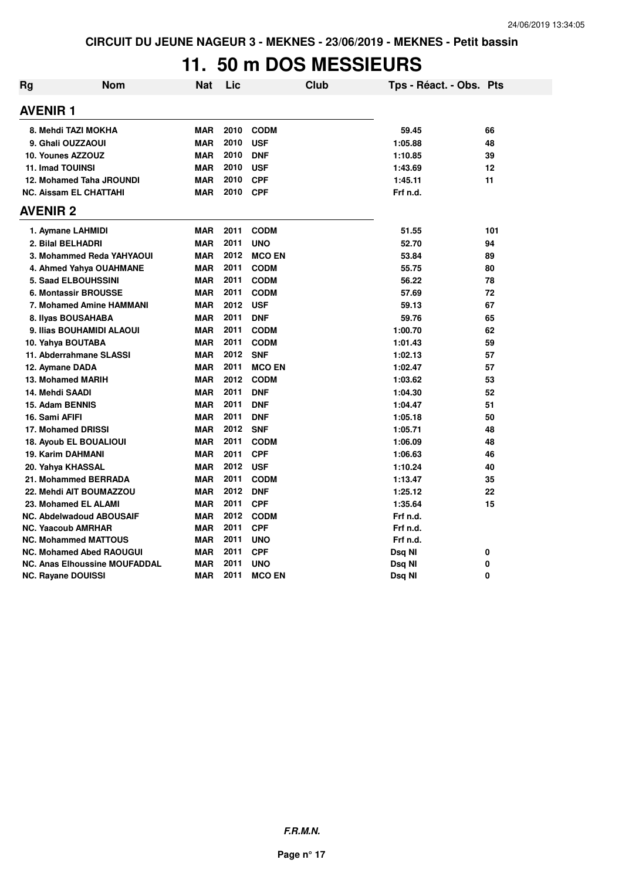# **11. 50 m DOS MESSIEURS**

| <b>Rg</b> | <b>Nom</b>                           | <b>Nat</b> | Lic      | <b>Club</b>   | Tps - Réact. - Obs. Pts |          |
|-----------|--------------------------------------|------------|----------|---------------|-------------------------|----------|
|           | <b>AVENIR1</b>                       |            |          |               |                         |          |
|           | 8. Mehdi TAZI MOKHA                  | <b>MAR</b> | 2010     | <b>CODM</b>   | 59.45                   | 66       |
|           | 9. Ghali OUZZAOUI                    | <b>MAR</b> | 2010     | <b>USF</b>    | 1:05.88                 | 48       |
|           | 10. Younes AZZOUZ                    | <b>MAR</b> | 2010     | <b>DNF</b>    | 1:10.85                 | 39       |
|           | <b>11. Imad TOUINSI</b>              | <b>MAR</b> | 2010     | <b>USF</b>    | 1:43.69                 | 12       |
|           | 12. Mohamed Taha JROUNDI             | <b>MAR</b> | 2010     | <b>CPF</b>    | 1:45.11                 | 11       |
|           | <b>NC. Aissam EL CHATTAHI</b>        | <b>MAR</b> | 2010 CPF |               | Frf n.d.                |          |
|           | <b>AVENIR 2</b>                      |            |          |               |                         |          |
|           | 1. Aymane LAHMIDI                    | <b>MAR</b> | 2011     | <b>CODM</b>   | 51.55                   | 101      |
|           | 2. Bilal BELHADRI                    | <b>MAR</b> | 2011     | <b>UNO</b>    | 52.70                   | 94       |
|           | 3. Mohammed Reda YAHYAOUI            | <b>MAR</b> | 2012     | <b>MCO EN</b> | 53.84                   | 89       |
|           | 4. Ahmed Yahya OUAHMANE              | <b>MAR</b> | 2011     | <b>CODM</b>   | 55.75                   | 80       |
|           | <b>5. Saad ELBOUHSSINI</b>           | <b>MAR</b> | 2011     | <b>CODM</b>   | 56.22                   | 78       |
|           | <b>6. Montassir BROUSSE</b>          | <b>MAR</b> | 2011     | <b>CODM</b>   | 57.69                   | 72       |
|           | 7. Mohamed Amine HAMMANI             | <b>MAR</b> | 2012     | <b>USF</b>    | 59.13                   | 67       |
|           | 8. Ilyas BOUSAHABA                   | <b>MAR</b> | 2011     | <b>DNF</b>    | 59.76                   | 65       |
|           | 9. Ilias BOUHAMIDI ALAOUI            | <b>MAR</b> | 2011     | <b>CODM</b>   | 1:00.70                 | 62       |
|           | 10. Yahya BOUTABA                    | <b>MAR</b> | 2011     | <b>CODM</b>   | 1:01.43                 | 59       |
|           | 11. Abderrahmane SLASSI              | <b>MAR</b> | 2012     | <b>SNF</b>    | 1:02.13                 | 57       |
|           | 12. Aymane DADA                      | <b>MAR</b> | 2011     | <b>MCO EN</b> | 1:02.47                 | 57       |
|           | 13. Mohamed MARIH                    | <b>MAR</b> |          | 2012 CODM     | 1:03.62                 | 53       |
|           | 14. Mehdi SAADI                      | <b>MAR</b> | 2011     | <b>DNF</b>    | 1:04.30                 | 52       |
|           | 15. Adam BENNIS                      | <b>MAR</b> | 2011     | <b>DNF</b>    | 1:04.47                 | 51       |
|           | 16. Sami AFIFI                       | <b>MAR</b> | 2011     | <b>DNF</b>    | 1:05.18                 | 50       |
|           | 17. Mohamed DRISSI                   | <b>MAR</b> | 2012     | <b>SNF</b>    | 1:05.71                 | 48       |
|           | <b>18. Ayoub EL BOUALIOUI</b>        | <b>MAR</b> | 2011     | <b>CODM</b>   | 1:06.09                 | 48       |
|           | <b>19. Karim DAHMANI</b>             | <b>MAR</b> | 2011     | <b>CPF</b>    | 1:06.63                 | 46       |
|           | 20. Yahya KHASSAL                    | <b>MAR</b> | 2012     | <b>USF</b>    | 1:10.24                 | 40       |
|           | 21. Mohammed BERRADA                 | <b>MAR</b> | 2011     | <b>CODM</b>   | 1:13.47                 | 35       |
|           | 22. Mehdi AIT BOUMAZZOU              | <b>MAR</b> | 2012     | <b>DNF</b>    | 1:25.12                 | 22       |
|           | 23. Mohamed EL ALAMI                 | <b>MAR</b> | 2011     | <b>CPF</b>    | 1:35.64                 | 15       |
|           | <b>NC. Abdelwadoud ABOUSAIF</b>      | <b>MAR</b> | 2012     | <b>CODM</b>   | Frf n.d.                |          |
|           | <b>NC. Yaacoub AMRHAR</b>            | <b>MAR</b> | 2011     | <b>CPF</b>    | Frf n.d.                |          |
|           | <b>NC. Mohammed MATTOUS</b>          | <b>MAR</b> | 2011     | <b>UNO</b>    | Frf n.d.                |          |
|           | <b>NC. Mohamed Abed RAOUGUI</b>      | <b>MAR</b> | 2011     | <b>CPF</b>    | Dsq NI                  | 0        |
|           | <b>NC. Anas Elhoussine MOUFADDAL</b> | <b>MAR</b> | 2011     | <b>UNO</b>    | Dsq NI                  | 0        |
|           | NC. Rayane DOUISSI                   | <b>MAR</b> | 2011     | <b>MCO EN</b> | Dsq Nl                  | $\Omega$ |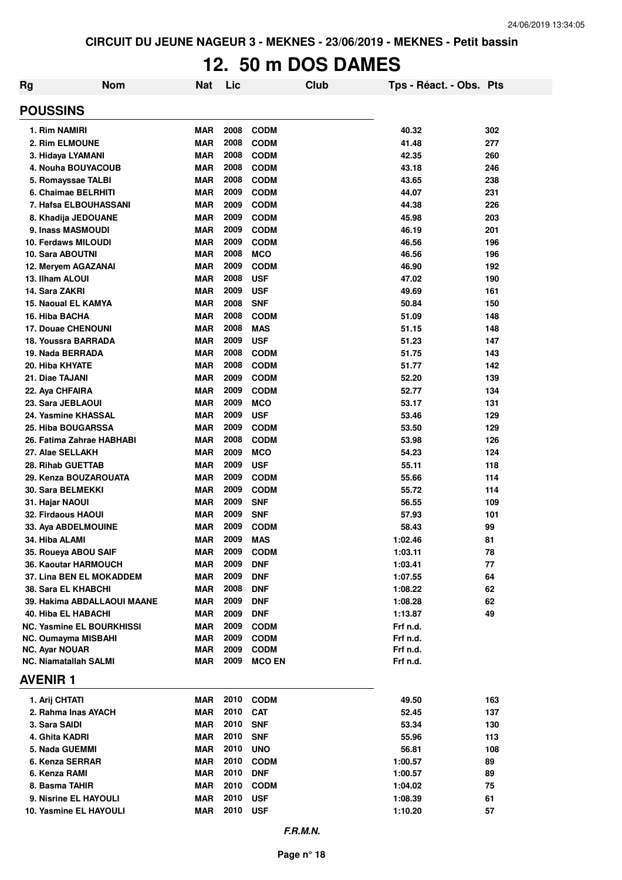# **12. 50 m DOS DAMES**

| Rg                           | <b>Nom</b>                                          | <b>Nat</b>               | Lic          |                           | Club | Tps - Réact. - Obs. Pts |          |
|------------------------------|-----------------------------------------------------|--------------------------|--------------|---------------------------|------|-------------------------|----------|
| <b>POUSSINS</b>              |                                                     |                          |              |                           |      |                         |          |
| 1. Rim NAMIRI                |                                                     | <b>MAR</b>               | 2008         | <b>CODM</b>               |      | 40.32                   | 302      |
| 2. Rim ELMOUNE               |                                                     | <b>MAR</b>               | 2008         | <b>CODM</b>               |      | 41.48                   | 277      |
| 3. Hidaya LYAMANI            |                                                     | <b>MAR</b>               | 2008         | <b>CODM</b>               |      | 42.35                   | 260      |
|                              | 4. Nouha BOUYACOUB                                  | <b>MAR</b>               | 2008         | <b>CODM</b>               |      | 43.18                   | 246      |
|                              | 5. Romayssae TALBI                                  | <b>MAR</b>               | 2008         | <b>CODM</b>               |      | 43.65                   | 238      |
|                              | 6. Chaimae BELRHITI                                 | <b>MAR</b>               | 2009         | <b>CODM</b>               |      | 44.07                   | 231      |
|                              | 7. Hafsa ELBOUHASSANI                               | <b>MAR</b>               | 2009         | <b>CODM</b>               |      | 44.38                   | 226      |
|                              | 8. Khadija JEDOUANE                                 | <b>MAR</b>               | 2009         | <b>CODM</b>               |      | 45.98                   | 203      |
| 9. Inass MASMOUDI            |                                                     | <b>MAR</b>               | 2009         | <b>CODM</b>               |      | 46.19                   | 201      |
| <b>10. Ferdaws MILOUDI</b>   |                                                     | <b>MAR</b>               | 2009         | <b>CODM</b>               |      | 46.56                   | 196      |
| <b>10. Sara ABOUTNI</b>      |                                                     | <b>MAR</b>               | 2008         | <b>MCO</b>                |      | 46.56                   | 196      |
|                              | 12. Meryem AGAZANAI                                 | <b>MAR</b>               | 2009         | <b>CODM</b>               |      | 46.90                   | 192      |
| 13. Ilham ALOUI              |                                                     | <b>MAR</b>               | 2008         | <b>USF</b>                |      | 47.02                   | 190      |
| 14. Sara ZAKRI               |                                                     | <b>MAR</b>               | 2009         | <b>USF</b>                |      | 49.69                   | 161      |
| 15. Naoual EL KAMYA          |                                                     | <b>MAR</b>               | 2008         | <b>SNF</b>                |      | 50.84                   | 150      |
| 16. Hiba BACHA               |                                                     | <b>MAR</b>               | 2008         | <b>CODM</b>               |      | 51.09                   | 148      |
| <b>17. Douae CHENOUNI</b>    |                                                     | <b>MAR</b>               | 2008         | <b>MAS</b>                |      | 51.15                   | 148      |
|                              | 18. Youssra BARRADA                                 | <b>MAR</b>               | 2009         | <b>USF</b>                |      | 51.23                   | 147      |
| 19. Nada BERRADA             |                                                     | <b>MAR</b>               | 2008         | <b>CODM</b>               |      | 51.75                   | 143      |
| 20. Hiba KHYATE              |                                                     | <b>MAR</b>               | 2008         | <b>CODM</b>               |      | 51.77                   | 142      |
| 21. Diae TAJANI              |                                                     | <b>MAR</b>               | 2009         | <b>CODM</b>               |      | 52.20                   | 139      |
| 22. Aya CHFAIRA              |                                                     | <b>MAR</b>               | 2009         | <b>CODM</b>               |      | 52.77                   | 134      |
| 23. Sara JEBLAOUI            |                                                     | <b>MAR</b>               | 2009         | <b>MCO</b>                |      | 53.17                   | 131      |
|                              | 24. Yasmine KHASSAL                                 | <b>MAR</b>               | 2009         | <b>USF</b>                |      | 53.46                   | 129      |
| <b>25. Hiba BOUGARSSA</b>    |                                                     | <b>MAR</b>               | 2009         | <b>CODM</b>               |      | 53.50                   | 129      |
|                              | 26. Fatima Zahrae HABHABI                           | <b>MAR</b>               | 2008         | <b>CODM</b>               |      | 53.98                   | 126      |
| 27. Alae SELLAKH             |                                                     | <b>MAR</b>               | 2009         | <b>MCO</b>                |      | 54.23                   | 124      |
| 28. Rihab GUETTAB            |                                                     | <b>MAR</b>               | 2009         | <b>USF</b>                |      | 55.11                   | 118      |
|                              | 29. Kenza BOUZAROUATA                               | <b>MAR</b>               | 2009         | <b>CODM</b>               |      | 55.66                   | 114      |
| 30. Sara BELMEKKI            |                                                     | <b>MAR</b>               | 2009         | <b>CODM</b>               |      | 55.72                   | 114      |
| 31. Hajar NAOUI              |                                                     | <b>MAR</b>               | 2009         | <b>SNF</b>                |      | 56.55                   | 109      |
| 32. Firdaous HAOUI           |                                                     | <b>MAR</b><br><b>MAR</b> | 2009<br>2009 | <b>SNF</b>                |      | 57.93                   | 101      |
|                              | 33. Aya ABDELMOUINE                                 |                          | 2009         | <b>CODM</b>               |      | 58.43                   | 99<br>81 |
| 34. Hiba ALAMI               |                                                     | <b>MAR</b><br><b>MAR</b> | 2009         | <b>MAS</b><br><b>CODM</b> |      | 1:02.46<br>1:03.11      | 78       |
|                              | 35. Roueya ABOU SAIF<br><b>36. Kaoutar HARMOUCH</b> | <b>MAR</b>               | 2009         | <b>DNF</b>                |      | 1:03.41                 | 77       |
|                              | <b>37. Lina BEN EL MOKADDEM</b>                     | <b>MAR</b>               | 2009         | <b>DNF</b>                |      | 1:07.55                 | 64       |
| 38. Sara EL KHABCHI          |                                                     | <b>MAR</b>               | 2008         | <b>DNF</b>                |      | 1:08.22                 | 62       |
|                              | 39. Hakima ABDALLAOUI MAANE                         | <b>MAR</b>               | 2009         | <b>DNF</b>                |      | 1:08.28                 | 62       |
| <b>40. Hiba EL HABACHI</b>   |                                                     | <b>MAR</b>               | 2009         | <b>DNF</b>                |      | 1:13.87                 | 49       |
|                              | <b>NC. Yasmine EL BOURKHISSI</b>                    | <b>MAR</b>               | 2009         | <b>CODM</b>               |      | Frf n.d.                |          |
|                              | <b>NC. Oumayma MISBAHI</b>                          | <b>MAR</b>               | 2009         | <b>CODM</b>               |      | Frf n.d.                |          |
| <b>NC. Ayar NOUAR</b>        |                                                     | <b>MAR</b>               | 2009         | <b>CODM</b>               |      | Frf n.d.                |          |
| <b>NC. Niamatallah SALMI</b> |                                                     | <b>MAR</b>               | 2009         | <b>MCO EN</b>             |      | Frf n.d.                |          |
| <b>AVENIR1</b>               |                                                     |                          |              |                           |      |                         |          |
| 1. Arij CHTATI               |                                                     | <b>MAR</b>               | 2010         | <b>CODM</b>               |      | 49.50                   | 163      |
|                              | 2. Rahma Inas AYACH                                 | <b>MAR</b>               | 2010         | <b>CAT</b>                |      | 52.45                   | 137      |
| 3. Sara SAIDI                |                                                     | <b>MAR</b>               | 2010         | <b>SNF</b>                |      | 53.34                   | 130      |
| 4. Ghita KADRI               |                                                     | <b>MAR</b>               | 2010         | <b>SNF</b>                |      | 55.96                   | 113      |
| 5. Nada GUEMMI               |                                                     | <b>MAR</b>               | 2010         | <b>UNO</b>                |      | 56.81                   | 108      |
| 6. Kenza SERRAR              |                                                     | <b>MAR</b>               | 2010         | <b>CODM</b>               |      | 1:00.57                 | 89       |
| 6. Kenza RAMI                |                                                     | <b>MAR</b>               | 2010         | <b>DNF</b>                |      | 1:00.57                 | 89       |
| 8. Basma TAHIR               |                                                     | <b>MAR</b>               | 2010         | <b>CODM</b>               |      | 1:04.02                 | 75       |
|                              | 9. Nisrine EL HAYOULI                               | <b>MAR</b>               | 2010         | <b>USF</b>                |      | 1:08.39                 | 61       |
|                              | 10. Yasmine EL HAYOULI                              | <b>MAR</b>               | 2010         | <b>USF</b>                |      | 1:10.20                 | 57       |
|                              |                                                     |                          |              |                           |      |                         |          |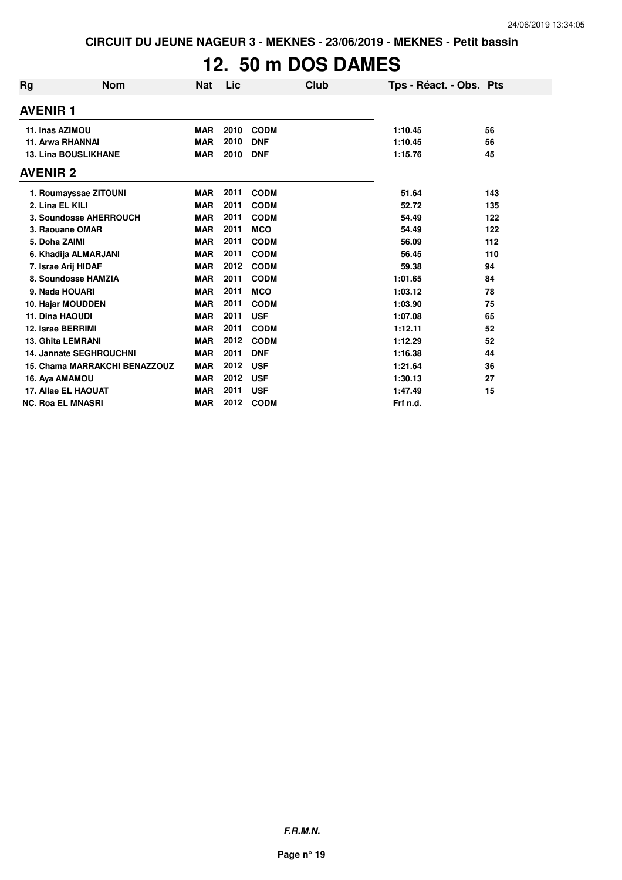# **12. 50 m DOS DAMES**

| Rg              | <b>Nom</b>                           | <b>Nat</b> | Lic  |             | Club | Tps - Réact. - Obs. Pts |     |
|-----------------|--------------------------------------|------------|------|-------------|------|-------------------------|-----|
| <b>AVENIR 1</b> |                                      |            |      |             |      |                         |     |
|                 | 11. Inas AZIMOU                      | <b>MAR</b> | 2010 | <b>CODM</b> |      | 1:10.45                 | 56  |
|                 | 11. Arwa RHANNAI                     | <b>MAR</b> | 2010 | <b>DNF</b>  |      | 1:10.45                 | 56  |
|                 | <b>13. Lina BOUSLIKHANE</b>          | <b>MAR</b> | 2010 | <b>DNF</b>  |      | 1:15.76                 | 45  |
| <b>AVENIR 2</b> |                                      |            |      |             |      |                         |     |
|                 | 1. Roumayssae ZITOUNI                | <b>MAR</b> | 2011 | <b>CODM</b> |      | 51.64                   | 143 |
|                 | 2. Lina EL KILI                      | <b>MAR</b> | 2011 | <b>CODM</b> |      | 52.72                   | 135 |
|                 | 3. Soundosse AHERROUCH               | <b>MAR</b> | 2011 | <b>CODM</b> |      | 54.49                   | 122 |
|                 | 3. Raouane OMAR                      | <b>MAR</b> | 2011 | <b>MCO</b>  |      | 54.49                   | 122 |
|                 | 5. Doha ZAIMI                        | <b>MAR</b> | 2011 | <b>CODM</b> |      | 56.09                   | 112 |
|                 | 6. Khadija ALMARJANI                 | <b>MAR</b> | 2011 | <b>CODM</b> |      | 56.45                   | 110 |
|                 | 7. Israe Arij HIDAF                  | <b>MAR</b> | 2012 | <b>CODM</b> |      | 59.38                   | 94  |
|                 | 8. Soundosse HAMZIA                  | <b>MAR</b> | 2011 | <b>CODM</b> |      | 1:01.65                 | 84  |
|                 | 9. Nada HOUARI                       | <b>MAR</b> | 2011 | <b>MCO</b>  |      | 1:03.12                 | 78  |
|                 | 10. Hajar MOUDDEN                    | <b>MAR</b> | 2011 | <b>CODM</b> |      | 1:03.90                 | 75  |
|                 | 11. Dina HAOUDI                      | <b>MAR</b> | 2011 | <b>USF</b>  |      | 1:07.08                 | 65  |
|                 | 12. Israe BERRIMI                    | <b>MAR</b> | 2011 | <b>CODM</b> |      | 1:12.11                 | 52  |
|                 | <b>13. Ghita LEMRANI</b>             | <b>MAR</b> | 2012 | <b>CODM</b> |      | 1:12.29                 | 52  |
|                 | <b>14. Jannate SEGHROUCHNI</b>       | <b>MAR</b> | 2011 | <b>DNF</b>  |      | 1:16.38                 | 44  |
|                 | <b>15. Chama MARRAKCHI BENAZZOUZ</b> | <b>MAR</b> | 2012 | <b>USF</b>  |      | 1:21.64                 | 36  |
|                 | 16. Aya AMAMOU                       | <b>MAR</b> | 2012 | <b>USF</b>  |      | 1:30.13                 | 27  |
|                 | 17. Allae EL HAOUAT                  | <b>MAR</b> | 2011 | <b>USF</b>  |      | 1:47.49                 | 15  |
|                 | <b>NC. Roa EL MNASRI</b>             | <b>MAR</b> | 2012 | <b>CODM</b> |      | Frf n.d.                |     |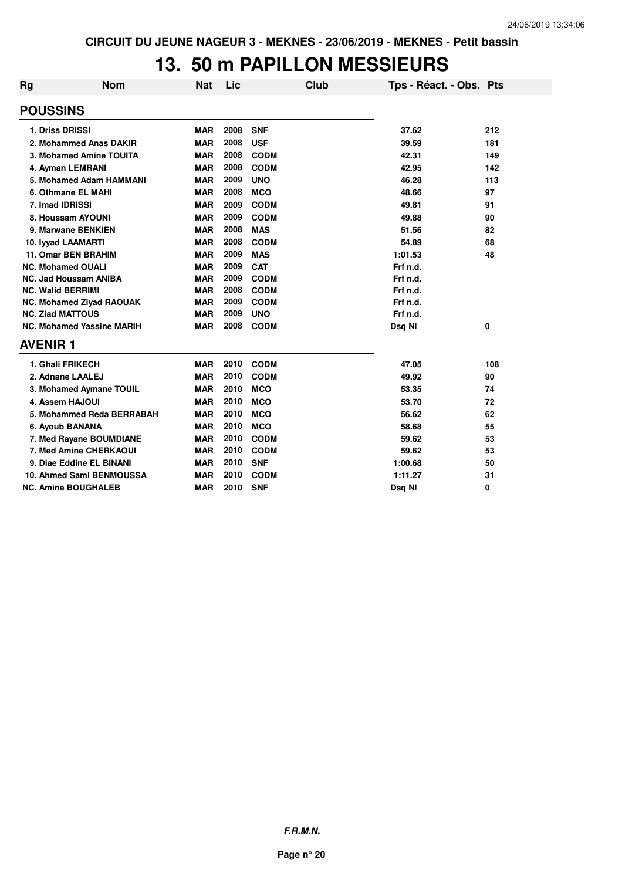# **13. 50 m PAPILLON MESSIEURS**

| Rg | <b>Nom</b>                       | <b>Nat</b> | Lic  |             | <b>Club</b> | Tps - Réact. - Obs. Pts |     |
|----|----------------------------------|------------|------|-------------|-------------|-------------------------|-----|
|    | <b>POUSSINS</b>                  |            |      |             |             |                         |     |
|    | 1. Driss DRISSI                  | <b>MAR</b> | 2008 | <b>SNF</b>  |             | 37.62                   | 212 |
|    | 2. Mohammed Anas DAKIR           | <b>MAR</b> | 2008 | <b>USF</b>  |             | 39.59                   | 181 |
|    | 3. Mohamed Amine TOUITA          | <b>MAR</b> | 2008 | <b>CODM</b> |             | 42.31                   | 149 |
|    | 4. Ayman LEMRANI                 | <b>MAR</b> | 2008 | <b>CODM</b> |             | 42.95                   | 142 |
|    | 5. Mohamed Adam HAMMANI          | <b>MAR</b> | 2009 | <b>UNO</b>  |             | 46.28                   | 113 |
|    | 6. Othmane EL MAHI               | <b>MAR</b> | 2008 | <b>MCO</b>  |             | 48.66                   | 97  |
|    | 7. Imad IDRISSI                  | <b>MAR</b> | 2009 | <b>CODM</b> |             | 49.81                   | 91  |
|    | 8. Houssam AYOUNI                | <b>MAR</b> | 2009 | <b>CODM</b> |             | 49.88                   | 90  |
|    | 9. Marwane BENKIEN               | <b>MAR</b> | 2008 | <b>MAS</b>  |             | 51.56                   | 82  |
|    | 10. Iyyad LAAMARTI               | <b>MAR</b> | 2008 | <b>CODM</b> |             | 54.89                   | 68  |
|    | 11. Omar BEN BRAHIM              | <b>MAR</b> | 2009 | <b>MAS</b>  |             | 1:01.53                 | 48  |
|    | <b>NC. Mohamed OUALI</b>         | <b>MAR</b> | 2009 | <b>CAT</b>  |             | Frf n.d.                |     |
|    | NC. Jad Houssam ANIBA            | <b>MAR</b> | 2009 | <b>CODM</b> |             | Frf n.d.                |     |
|    | <b>NC. Walid BERRIMI</b>         | <b>MAR</b> | 2008 | <b>CODM</b> |             | Frf n.d.                |     |
|    | <b>NC. Mohamed Ziyad RAOUAK</b>  | <b>MAR</b> | 2009 | <b>CODM</b> |             | Frf n.d.                |     |
|    | <b>NC. Ziad MATTOUS</b>          | <b>MAR</b> | 2009 | <b>UNO</b>  |             | Frf n.d.                |     |
|    | <b>NC. Mohamed Yassine MARIH</b> | <b>MAR</b> | 2008 | <b>CODM</b> |             | Dsg NI                  | 0   |
|    | <b>AVENIR 1</b>                  |            |      |             |             |                         |     |
|    | 1. Ghali FRIKECH                 | <b>MAR</b> | 2010 | <b>CODM</b> |             | 47.05                   | 108 |
|    | 2. Adnane LAALEJ                 | <b>MAR</b> | 2010 | <b>CODM</b> |             | 49.92                   | 90  |
|    | 3. Mohamed Aymane TOUIL          | <b>MAR</b> | 2010 | <b>MCO</b>  |             | 53.35                   | 74  |
|    | 4. Assem HAJOUI                  | <b>MAR</b> | 2010 | <b>MCO</b>  |             | 53.70                   | 72  |
|    | 5. Mohammed Reda BERRABAH        | <b>MAR</b> | 2010 | <b>MCO</b>  |             | 56.62                   | 62  |
|    | 6. Ayoub BANANA                  | <b>MAR</b> | 2010 | <b>MCO</b>  |             | 58.68                   | 55  |
|    | 7. Med Rayane BOUMDIANE          | <b>MAR</b> | 2010 | <b>CODM</b> |             | 59.62                   | 53  |
|    | 7. Med Amine CHERKAOUI           | <b>MAR</b> | 2010 | <b>CODM</b> |             | 59.62                   | 53  |
|    | 9. Diae Eddine EL BINANI         | <b>MAR</b> | 2010 | <b>SNF</b>  |             | 1:00.68                 | 50  |
|    | 10. Ahmed Sami BENMOUSSA         | <b>MAR</b> | 2010 | <b>CODM</b> |             | 1:11.27                 | 31  |
|    | <b>NC. Amine BOUGHALEB</b>       | <b>MAR</b> | 2010 | <b>SNF</b>  |             | Dsg NI                  | 0   |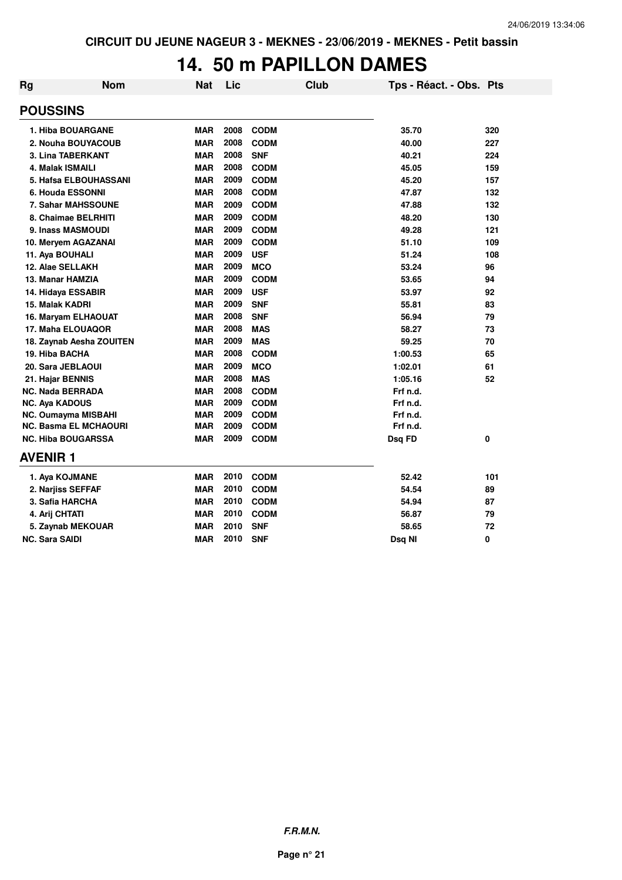#### **14. 50 m PAPILLON DAMES**

| Rg                      | <b>Nom</b>                | <b>Nat</b> | Lic  | Club        |          | Tps - Réact. - Obs. Pts |
|-------------------------|---------------------------|------------|------|-------------|----------|-------------------------|
| <b>POUSSINS</b>         |                           |            |      |             |          |                         |
|                         | 1. Hiba BOUARGANE         | <b>MAR</b> | 2008 | <b>CODM</b> | 35.70    | 320                     |
|                         | 2. Nouha BOUYACOUB        | <b>MAR</b> | 2008 | <b>CODM</b> | 40.00    | 227                     |
|                         | 3. Lina TABERKANT         | <b>MAR</b> | 2008 | <b>SNF</b>  | 40.21    | 224                     |
| 4. Malak ISMAILI        |                           | <b>MAR</b> | 2008 | <b>CODM</b> | 45.05    | 159                     |
|                         | 5. Hafsa ELBOUHASSANI     | <b>MAR</b> | 2009 | <b>CODM</b> | 45.20    | 157                     |
|                         | 6. Houda ESSONNI          | <b>MAR</b> | 2008 | <b>CODM</b> | 47.87    | 132                     |
|                         | 7. Sahar MAHSSOUNE        | <b>MAR</b> | 2009 | <b>CODM</b> | 47.88    | 132                     |
|                         | 8. Chaimae BELRHITI       | <b>MAR</b> | 2009 | <b>CODM</b> | 48.20    | 130                     |
|                         | 9. Inass MASMOUDI         | <b>MAR</b> | 2009 | <b>CODM</b> | 49.28    | 121                     |
|                         | 10. Meryem AGAZANAI       | <b>MAR</b> | 2009 | <b>CODM</b> | 51.10    | 109                     |
| 11. Aya BOUHALI         |                           | <b>MAR</b> | 2009 | <b>USF</b>  | 51.24    | 108                     |
| 12. Alae SELLAKH        |                           | <b>MAR</b> | 2009 | <b>MCO</b>  | 53.24    | 96                      |
| 13. Manar HAMZIA        |                           | <b>MAR</b> | 2009 | <b>CODM</b> | 53.65    | 94                      |
| 14. Hidaya ESSABIR      |                           | <b>MAR</b> | 2009 | <b>USF</b>  | 53.97    | 92                      |
| 15. Malak KADRI         |                           | <b>MAR</b> | 2009 | <b>SNF</b>  | 55.81    | 83                      |
|                         | 16. Maryam ELHAOUAT       | <b>MAR</b> | 2008 | <b>SNF</b>  | 56.94    | 79                      |
|                         | 17. Maha ELOUAQOR         | <b>MAR</b> | 2008 | <b>MAS</b>  | 58.27    | 73                      |
|                         | 18. Zaynab Aesha ZOUITEN  | <b>MAR</b> | 2009 | <b>MAS</b>  | 59.25    | 70                      |
| 19. Hiba BACHA          |                           | <b>MAR</b> | 2008 | <b>CODM</b> | 1:00.53  | 65                      |
| 20. Sara JEBLAOUI       |                           | <b>MAR</b> | 2009 | <b>MCO</b>  | 1:02.01  | 61                      |
| 21. Hajar BENNIS        |                           | <b>MAR</b> | 2008 | <b>MAS</b>  | 1:05.16  | 52                      |
| <b>NC. Nada BERRADA</b> |                           | <b>MAR</b> | 2008 | <b>CODM</b> | Frf n.d. |                         |
| <b>NC. Aya KADOUS</b>   |                           | <b>MAR</b> | 2009 | <b>CODM</b> | Frf n.d. |                         |
|                         | NC. Oumayma MISBAHI       | <b>MAR</b> | 2009 | <b>CODM</b> | Frf n.d. |                         |
|                         | NC. Basma EL MCHAOURI     | <b>MAR</b> | 2009 | <b>CODM</b> | Frf n.d. |                         |
|                         | <b>NC. Hiba BOUGARSSA</b> | <b>MAR</b> | 2009 | <b>CODM</b> | Dsq FD   | 0                       |
| <b>AVENIR 1</b>         |                           |            |      |             |          |                         |
| 1. Aya KOJMANE          |                           | <b>MAR</b> | 2010 | <b>CODM</b> | 52.42    | 101                     |
| 2. Narjiss SEFFAF       |                           | <b>MAR</b> | 2010 | <b>CODM</b> | 54.54    | 89                      |
| 3. Safia HARCHA         |                           | <b>MAR</b> | 2010 | <b>CODM</b> | 54.94    | 87                      |
| 4. Arij CHTATI          |                           | <b>MAR</b> | 2010 | <b>CODM</b> | 56.87    | 79                      |
|                         | 5. Zaynab MEKOUAR         | <b>MAR</b> | 2010 | <b>SNF</b>  | 58.65    | 72                      |
| NC. Sara SAIDI          |                           | <b>MAR</b> | 2010 | <b>SNF</b>  | Dsq NI   | 0                       |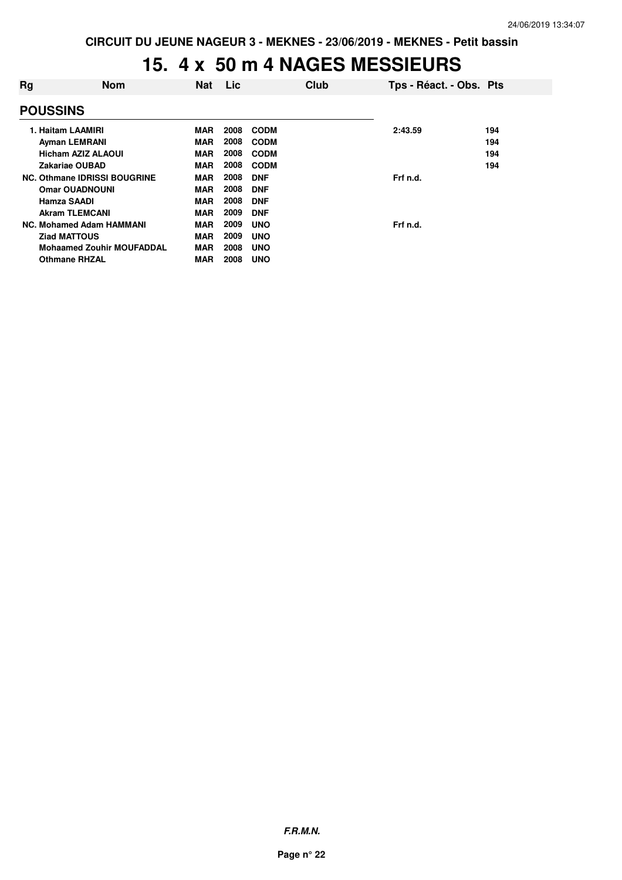#### **15. 4 x 50 m 4 NAGES MESSIEURS**

| Rg | <b>Nom</b>                          | <b>Nat</b> | Lic  |             | Club | Tps - Réact. - Obs. Pts |     |
|----|-------------------------------------|------------|------|-------------|------|-------------------------|-----|
|    | <b>POUSSINS</b>                     |            |      |             |      |                         |     |
|    | 1. Haitam LAAMIRI                   | MAR        | 2008 | <b>CODM</b> |      | 2:43.59                 | 194 |
|    | <b>Ayman LEMRANI</b>                | <b>MAR</b> | 2008 | <b>CODM</b> |      |                         | 194 |
|    | <b>Hicham AZIZ ALAOUI</b>           | <b>MAR</b> | 2008 | <b>CODM</b> |      |                         | 194 |
|    | Zakariae OUBAD                      | <b>MAR</b> | 2008 | <b>CODM</b> |      |                         | 194 |
|    | <b>NC. Othmane IDRISSI BOUGRINE</b> | <b>MAR</b> | 2008 | <b>DNF</b>  |      | Frf n.d.                |     |
|    | <b>Omar OUADNOUNI</b>               | <b>MAR</b> | 2008 | <b>DNF</b>  |      |                         |     |
|    | <b>Hamza SAADI</b>                  | <b>MAR</b> | 2008 | <b>DNF</b>  |      |                         |     |
|    | <b>Akram TLEMCANI</b>               | <b>MAR</b> | 2009 | <b>DNF</b>  |      |                         |     |
|    | NC. Mohamed Adam HAMMANI            | <b>MAR</b> | 2009 | <b>UNO</b>  |      | Frf n.d.                |     |
|    | <b>Ziad MATTOUS</b>                 | <b>MAR</b> | 2009 | <b>UNO</b>  |      |                         |     |
|    | <b>Mohaamed Zouhir MOUFADDAL</b>    | <b>MAR</b> | 2008 | <b>UNO</b>  |      |                         |     |
|    | <b>Othmane RHZAL</b>                | <b>MAR</b> | 2008 | <b>UNO</b>  |      |                         |     |